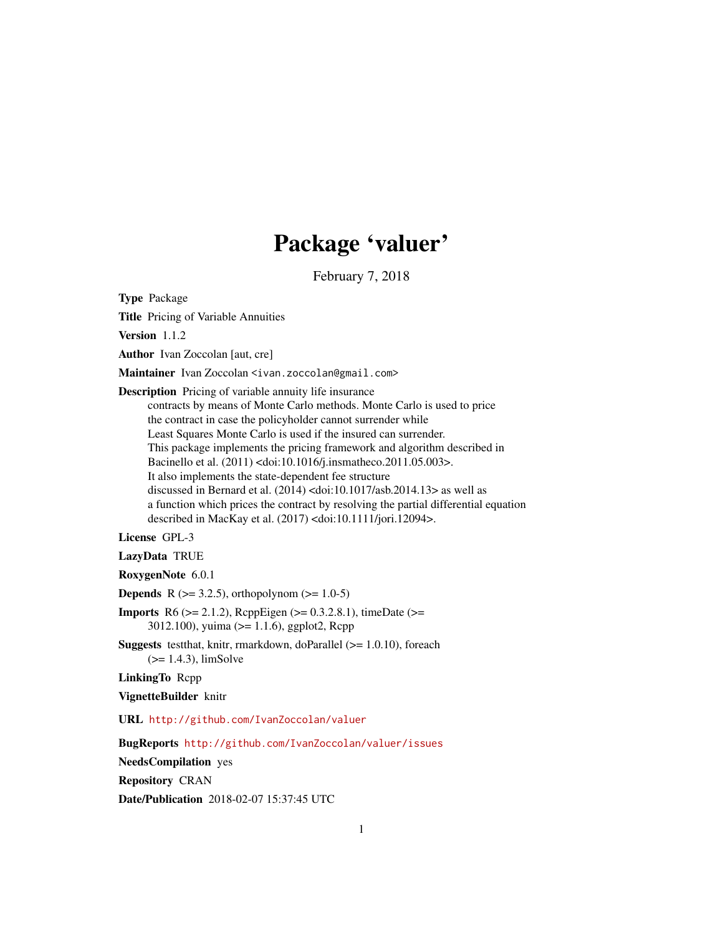# Package 'valuer'

February 7, 2018

<span id="page-0-0"></span>Type Package Title Pricing of Variable Annuities Version 1.1.2 Author Ivan Zoccolan [aut, cre] Maintainer Ivan Zoccolan <ivan.zoccolan@gmail.com> Description Pricing of variable annuity life insurance contracts by means of Monte Carlo methods. Monte Carlo is used to price the contract in case the policyholder cannot surrender while Least Squares Monte Carlo is used if the insured can surrender. This package implements the pricing framework and algorithm described in Bacinello et al. (2011) <doi:10.1016/j.insmatheco.2011.05.003>. It also implements the state-dependent fee structure discussed in Bernard et al. (2014) <doi:10.1017/asb.2014.13> as well as a function which prices the contract by resolving the partial differential equation described in MacKay et al. (2017) <doi:10.1111/jori.12094>. License GPL-3

LazyData TRUE

RoxygenNote 6.0.1

**Depends** R ( $>= 3.2.5$ ), orthopolynom ( $>= 1.0-5$ )

**Imports** R6 ( $>= 2.1.2$ ), RcppEigen ( $>= 0.3.2.8.1$ ), timeDate ( $>=$ 3012.100), yuima (>= 1.1.6), ggplot2, Rcpp

Suggests testthat, knitr, rmarkdown, doParallel (>= 1.0.10), foreach (>= 1.4.3), limSolve

LinkingTo Rcpp

VignetteBuilder knitr

URL <http://github.com/IvanZoccolan/valuer>

BugReports <http://github.com/IvanZoccolan/valuer/issues>

NeedsCompilation yes

Repository CRAN

Date/Publication 2018-02-07 15:37:45 UTC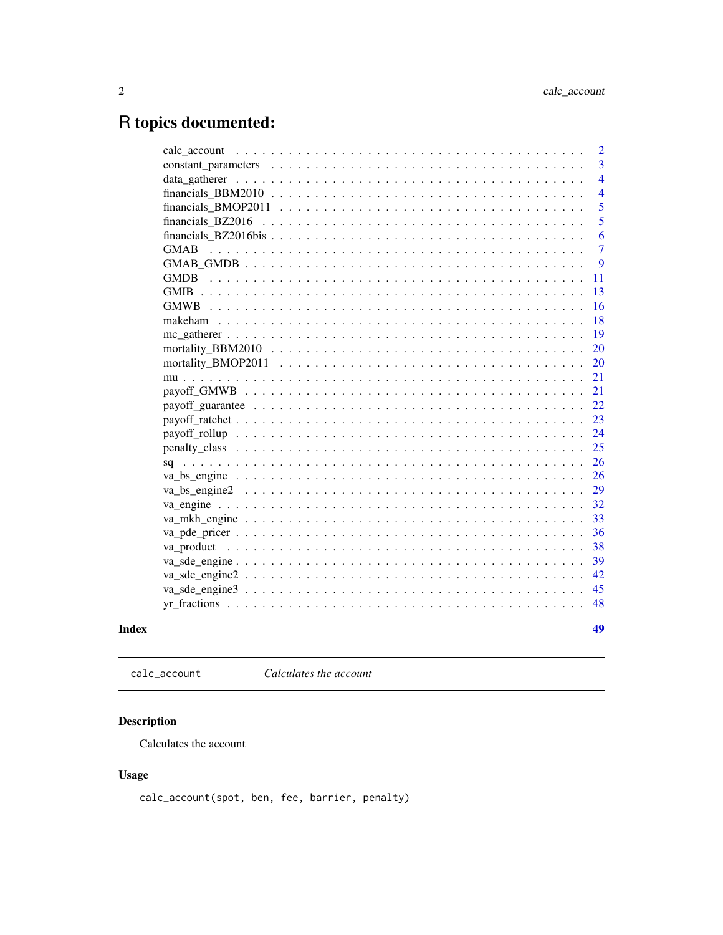# <span id="page-1-0"></span>R topics documented:

|             | 2              |
|-------------|----------------|
|             | $\overline{3}$ |
|             | $\overline{4}$ |
|             | $\overline{4}$ |
|             | 5              |
|             | 5              |
|             | 6              |
| <b>GMAB</b> | $\overline{7}$ |
|             | 9              |
|             | 11             |
|             | 13             |
|             | 16             |
|             | 18             |
|             | 19             |
|             | 20             |
|             | 20             |
|             | 21             |
|             | 21             |
|             | 22             |
|             | 23             |
|             | 24             |
|             | 25             |
|             | 26             |
|             | 26             |
|             | 29             |
|             | 32             |
|             | 33             |
|             | 36             |
|             | 38             |
|             | 39             |
|             | 42             |
|             | 45             |
|             | 48             |
|             |                |
|             | 49             |

## **Index**

calc\_account Calculates the account

## **Description**

Calculates the account

## **Usage**

calc\_account(spot, ben, fee, barrier, penalty)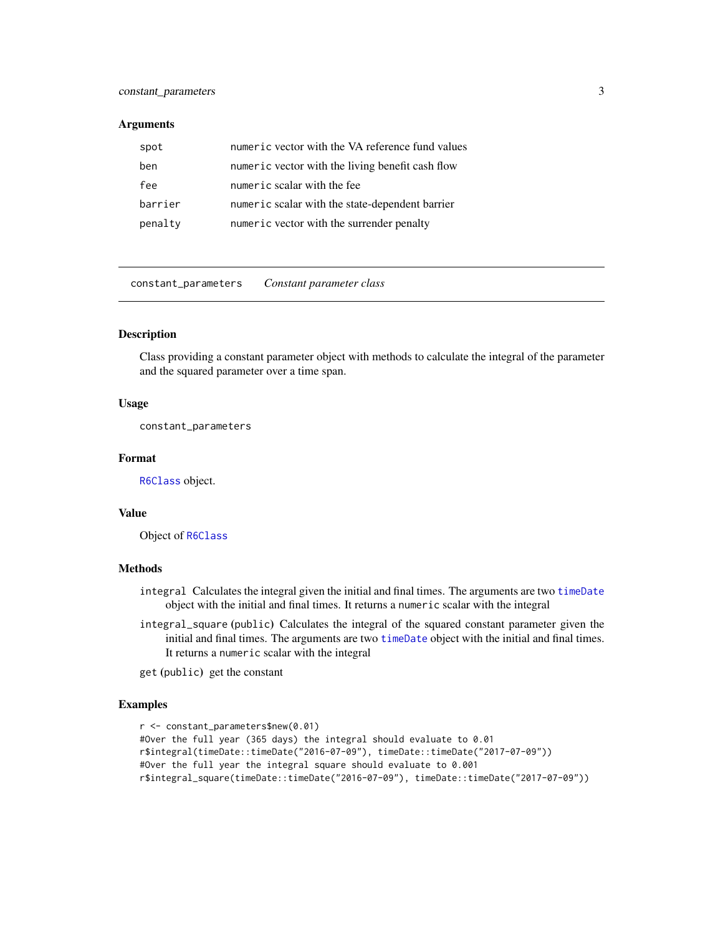#### <span id="page-2-0"></span>constant\_parameters 3

#### **Arguments**

| spot    | numeric vector with the VA reference fund values |
|---------|--------------------------------------------------|
| ben     | numeric vector with the living benefit cash flow |
| fee     | numeric scalar with the fee                      |
| barrier | numeric scalar with the state-dependent barrier  |
| penalty | numeric vector with the surrender penalty        |

<span id="page-2-1"></span>constant\_parameters *Constant parameter class*

#### Description

Class providing a constant parameter object with methods to calculate the integral of the parameter and the squared parameter over a time span.

#### Usage

constant\_parameters

#### Format

[R6Class](#page-0-0) object.

#### Value

Object of [R6Class](#page-0-0)

#### Methods

- integral Calculates the integral given the initial and final times. The arguments are two [timeDate](#page-0-0) object with the initial and final times. It returns a numeric scalar with the integral
- integral\_square (public) Calculates the integral of the squared constant parameter given the initial and final times. The arguments are two [timeDate](#page-0-0) object with the initial and final times. It returns a numeric scalar with the integral

get (public) get the constant

```
r <- constant_parameters$new(0.01)
#Over the full year (365 days) the integral should evaluate to 0.01
r$integral(timeDate::timeDate("2016-07-09"), timeDate::timeDate("2017-07-09"))
#Over the full year the integral square should evaluate to 0.001
r$integral_square(timeDate::timeDate("2016-07-09"), timeDate::timeDate("2017-07-09"))
```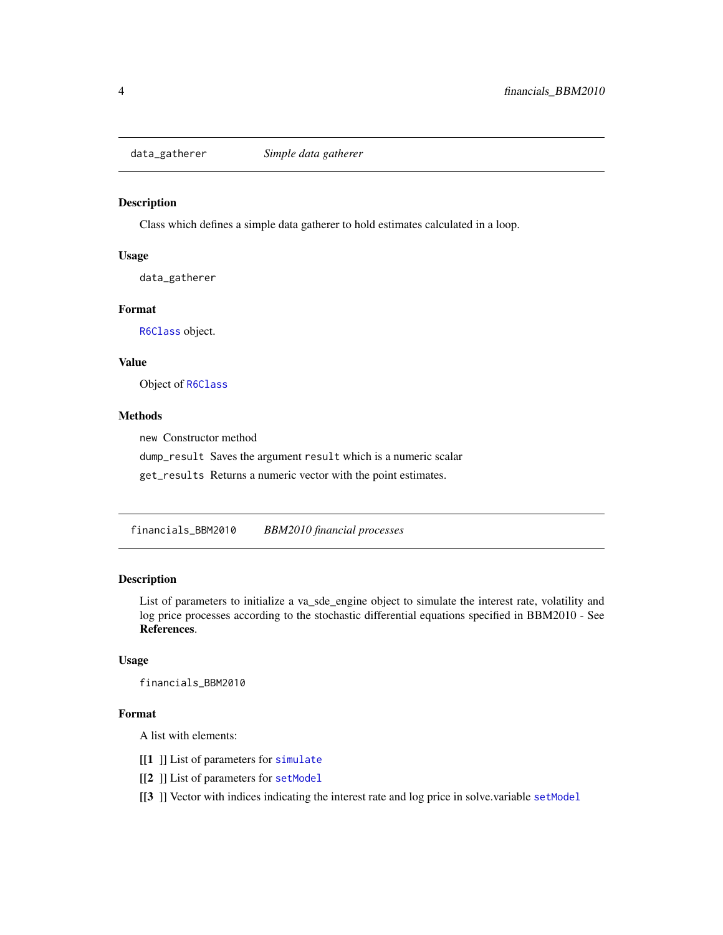<span id="page-3-1"></span><span id="page-3-0"></span>

#### Description

Class which defines a simple data gatherer to hold estimates calculated in a loop.

#### Usage

data\_gatherer

#### Format

[R6Class](#page-0-0) object.

#### Value

Object of [R6Class](#page-0-0)

#### Methods

new Constructor method

dump\_result Saves the argument result which is a numeric scalar

get\_results Returns a numeric vector with the point estimates.

financials\_BBM2010 *BBM2010 financial processes*

#### Description

List of parameters to initialize a va\_sde\_engine object to simulate the interest rate, volatility and log price processes according to the stochastic differential equations specified in BBM2010 - See References.

#### Usage

financials\_BBM2010

#### Format

A list with elements:

- [[1 ]] List of parameters for [simulate](#page-0-0)
- [[2] ] List of parameters for [setModel](#page-0-0)
- [[3 ]] Vector with indices indicating the interest rate and log price in solve.variable [setModel](#page-0-0)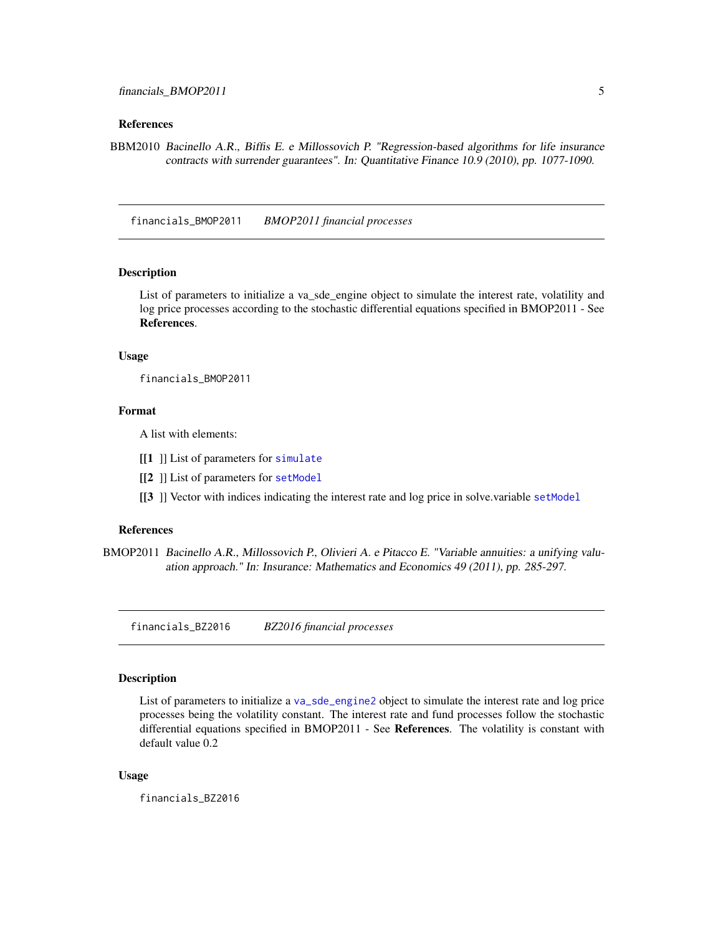#### <span id="page-4-0"></span>References

BBM2010 Bacinello A.R., Biffis E. e Millossovich P. "Regression-based algorithms for life insurance contracts with surrender guarantees". In: Quantitative Finance 10.9 (2010), pp. 1077-1090.

<span id="page-4-1"></span>financials\_BMOP2011 *BMOP2011 financial processes*

#### Description

List of parameters to initialize a va\_sde\_engine object to simulate the interest rate, volatility and log price processes according to the stochastic differential equations specified in BMOP2011 - See References.

#### Usage

financials\_BMOP2011

#### Format

A list with elements:

- [[1 ]] List of parameters for [simulate](#page-0-0)
- [[2] ] List of parameters for [setModel](#page-0-0)
- [[3 ]] Vector with indices indicating the interest rate and log price in solve.variable [setModel](#page-0-0)

#### References

BMOP2011 Bacinello A.R., Millossovich P., Olivieri A. e Pitacco E. "Variable annuities: a unifying valuation approach." In: Insurance: Mathematics and Economics 49 (2011), pp. 285-297.

<span id="page-4-2"></span>financials\_BZ2016 *BZ2016 financial processes*

#### Description

List of parameters to initialize a [va\\_sde\\_engine2](#page-41-1) object to simulate the interest rate and log price processes being the volatility constant. The interest rate and fund processes follow the stochastic differential equations specified in BMOP2011 - See References. The volatility is constant with default value 0.2

#### Usage

financials\_BZ2016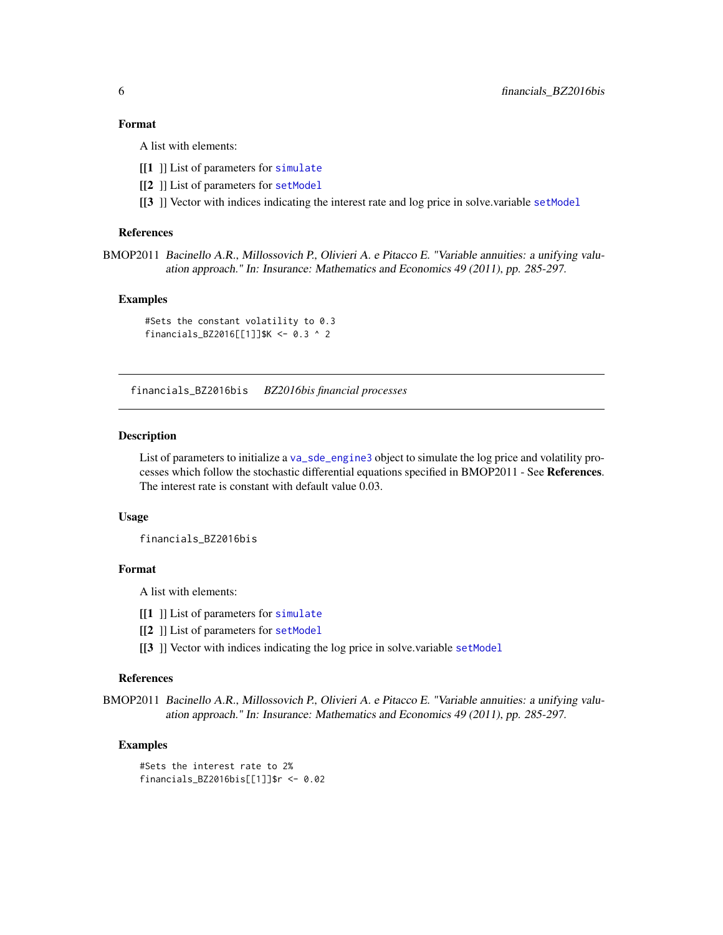#### <span id="page-5-0"></span>Format

A list with elements:

- [[1] ]] List of parameters for [simulate](#page-0-0)
- [[2] ] List of parameters for [setModel](#page-0-0)
- $[3]$ ] Vector with indices indicating the interest rate and log price in solve.variable [setModel](#page-0-0)

#### References

BMOP2011 Bacinello A.R., Millossovich P., Olivieri A. e Pitacco E. "Variable annuities: a unifying valuation approach." In: Insurance: Mathematics and Economics 49 (2011), pp. 285-297.

#### Examples

#Sets the constant volatility to 0.3 financials\_BZ2016[[1]]\$K <- 0.3 ^ 2

<span id="page-5-1"></span>financials\_BZ2016bis *BZ2016bis financial processes*

#### **Description**

List of parameters to initialize a [va\\_sde\\_engine3](#page-44-1) object to simulate the log price and volatility processes which follow the stochastic differential equations specified in BMOP2011 - See References. The interest rate is constant with default value 0.03.

#### Usage

financials\_BZ2016bis

#### Format

A list with elements:

- [[1] ]] List of parameters for [simulate](#page-0-0)
- [[2] ] List of parameters for [setModel](#page-0-0)
- [[3] ]] Vector with indices indicating the log price in solve.variable [setModel](#page-0-0)

#### References

BMOP2011 Bacinello A.R., Millossovich P., Olivieri A. e Pitacco E. "Variable annuities: a unifying valuation approach." In: Insurance: Mathematics and Economics 49 (2011), pp. 285-297.

#### Examples

#Sets the interest rate to 2% financials\_BZ2016bis[[1]]\$r <- 0.02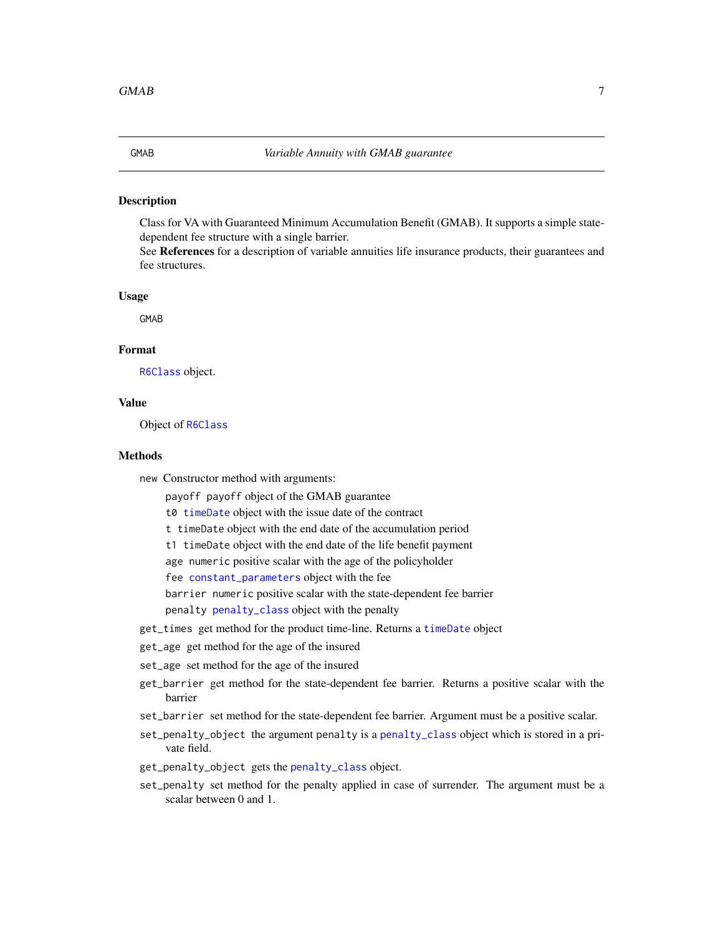<span id="page-6-0"></span>

#### Description

Class for VA with Guaranteed Minimum Accumulation Benefit (GMAB). It supports a simple statedependent fee structure with a single barrier.

See References for a description of variable annuities life insurance products, their guarantees and fee structures.

#### Usage

GMAB

#### Format

[R6Class](#page-0-0) object.

#### Value

Object of [R6Class](#page-0-0)

#### Methods

new Constructor method with arguments:

payoff payoff object of the GMAB guarantee

t0 [timeDate](#page-0-0) object with the issue date of the contract

t timeDate object with the end date of the accumulation period

t1 timeDate object with the end date of the life benefit payment

age numeric positive scalar with the age of the policyholder

fee [constant\\_parameters](#page-2-1) object with the fee

barrier numeric positive scalar with the state-dependent fee barrier

penalty [penalty\\_class](#page-24-1) object with the penalty

- get\_times get method for the product time-line. Returns a [timeDate](#page-0-0) object
- get\_age get method for the age of the insured
- set\_age set method for the age of the insured
- get\_barrier get method for the state-dependent fee barrier. Returns a positive scalar with the barrier
- set\_barrier set method for the state-dependent fee barrier. Argument must be a positive scalar.
- set\_penalty\_object the argument penalty is a [penalty\\_class](#page-24-1) object which is stored in a private field.
- get\_penalty\_object gets the [penalty\\_class](#page-24-1) object.
- set\_penalty set method for the penalty applied in case of surrender. The argument must be a scalar between 0 and 1.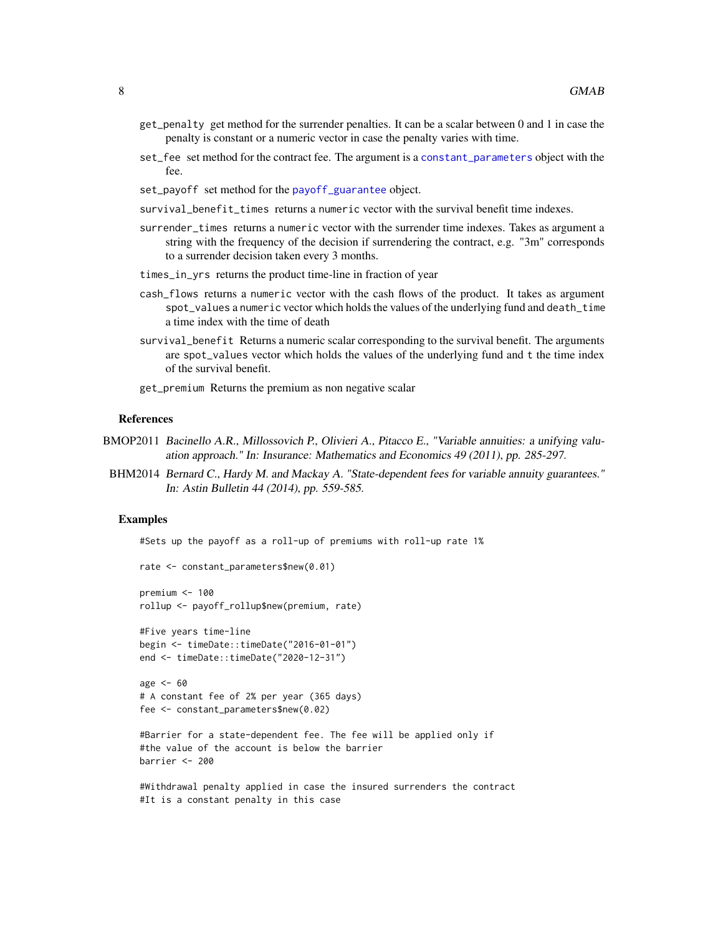- <span id="page-7-0"></span>get\_penalty get method for the surrender penalties. It can be a scalar between 0 and 1 in case the penalty is constant or a numeric vector in case the penalty varies with time.
- set\_fee set method for the contract fee. The argument is a [constant\\_parameters](#page-2-1) object with the fee.
- set\_payoff set method for the [payoff\\_guarantee](#page-21-1) object.
- survival\_benefit\_times returns a numeric vector with the survival benefit time indexes.
- surrender\_times returns a numeric vector with the surrender time indexes. Takes as argument a string with the frequency of the decision if surrendering the contract, e.g. "3m" corresponds to a surrender decision taken every 3 months.
- times\_in\_yrs returns the product time-line in fraction of year
- cash\_flows returns a numeric vector with the cash flows of the product. It takes as argument spot\_values a numeric vector which holds the values of the underlying fund and death\_time a time index with the time of death
- survival\_benefit Returns a numeric scalar corresponding to the survival benefit. The arguments are spot\_values vector which holds the values of the underlying fund and t the time index of the survival benefit.
- get\_premium Returns the premium as non negative scalar

#### References

- BMOP2011 Bacinello A.R., Millossovich P., Olivieri A., Pitacco E., "Variable annuities: a unifying valuation approach." In: Insurance: Mathematics and Economics 49 (2011), pp. 285-297.
- BHM2014 Bernard C., Hardy M. and Mackay A. "State-dependent fees for variable annuity guarantees." In: Astin Bulletin 44 (2014), pp. 559-585.

#### Examples

#Sets up the payoff as a roll-up of premiums with roll-up rate 1%

```
rate <- constant_parameters$new(0.01)
premium <- 100
rollup <- payoff_rollup$new(premium, rate)
#Five years time-line
begin <- timeDate::timeDate("2016-01-01")
end <- timeDate::timeDate("2020-12-31")
```

```
age <- 60
# A constant fee of 2% per year (365 days)
fee <- constant_parameters$new(0.02)
```

```
#Barrier for a state-dependent fee. The fee will be applied only if
#the value of the account is below the barrier
barrier <- 200
```

```
#Withdrawal penalty applied in case the insured surrenders the contract
#It is a constant penalty in this case
```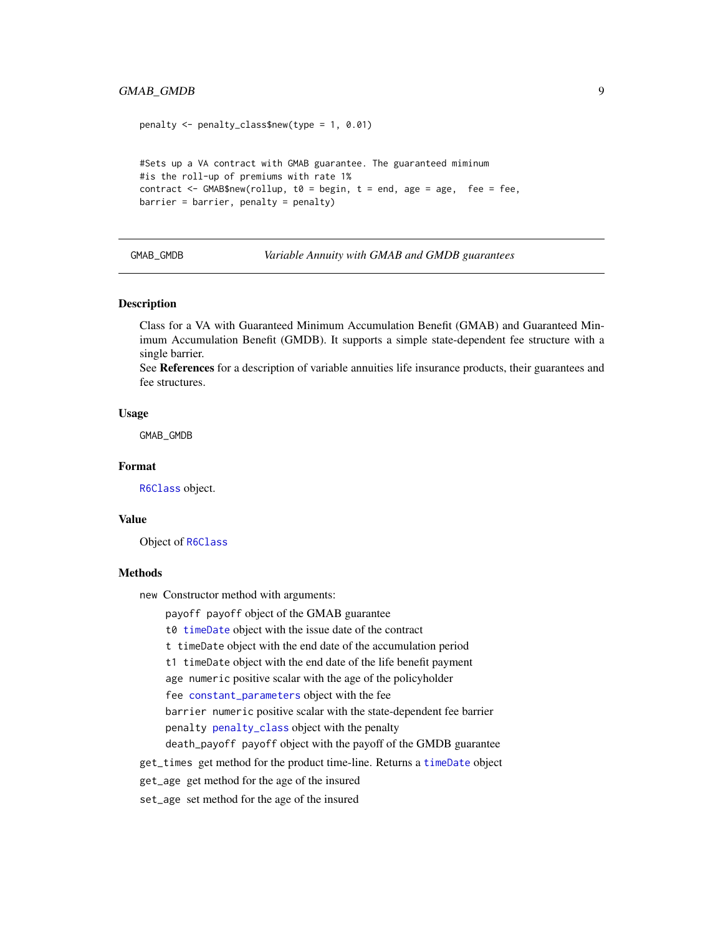#### <span id="page-8-0"></span>GMAB\_GMDB 9

```
penalty <- penalty_class$new(type = 1, 0.01)
#Sets up a VA contract with GMAB guarantee. The guaranteed miminum
#is the roll-up of premiums with rate 1%
contract \leq GMAB$new(rollup, t0 = begin, t = end, age = age, fee = fee,
barrier = barrier, penalty = penalty)
```
GMAB\_GMDB *Variable Annuity with GMAB and GMDB guarantees*

#### Description

Class for a VA with Guaranteed Minimum Accumulation Benefit (GMAB) and Guaranteed Minimum Accumulation Benefit (GMDB). It supports a simple state-dependent fee structure with a single barrier.

See References for a description of variable annuities life insurance products, their guarantees and fee structures.

#### Usage

GMAB\_GMDB

#### Format

[R6Class](#page-0-0) object.

#### Value

Object of [R6Class](#page-0-0)

#### **Methods**

new Constructor method with arguments:

payoff payoff object of the GMAB guarantee

t0 [timeDate](#page-0-0) object with the issue date of the contract

t timeDate object with the end date of the accumulation period

t1 timeDate object with the end date of the life benefit payment

age numeric positive scalar with the age of the policyholder

fee [constant\\_parameters](#page-2-1) object with the fee

barrier numeric positive scalar with the state-dependent fee barrier penalty [penalty\\_class](#page-24-1) object with the penalty

death\_payoff payoff object with the payoff of the GMDB guarantee

get\_times get method for the product time-line. Returns a [timeDate](#page-0-0) object

get\_age get method for the age of the insured

set\_age set method for the age of the insured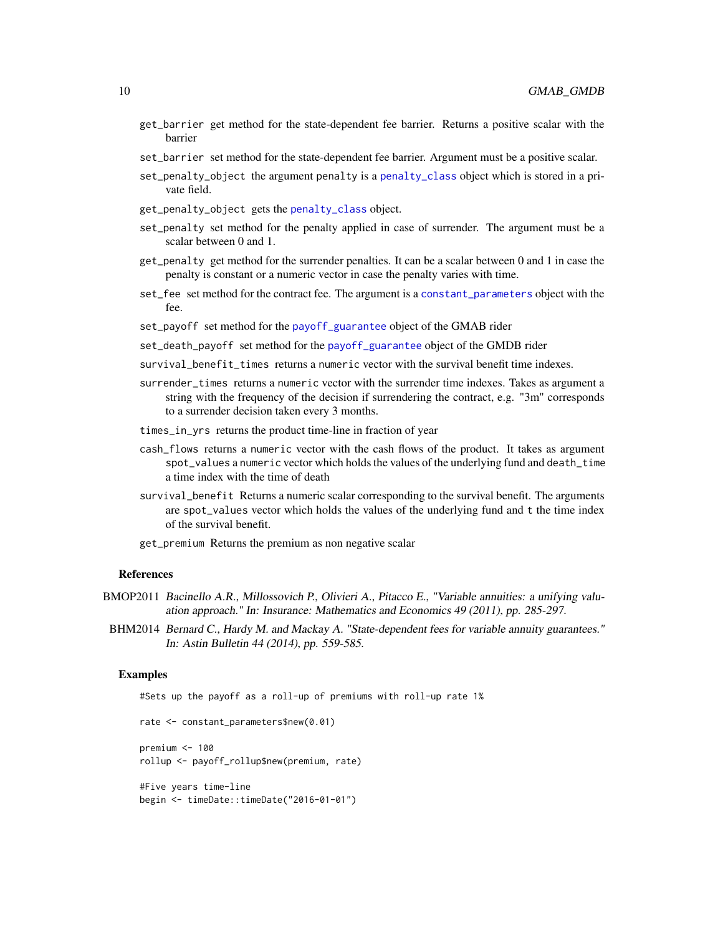- <span id="page-9-0"></span>get\_barrier get method for the state-dependent fee barrier. Returns a positive scalar with the barrier
- set\_barrier set method for the state-dependent fee barrier. Argument must be a positive scalar.
- set\_penalty\_object the argument penalty is a [penalty\\_class](#page-24-1) object which is stored in a private field.
- get\_penalty\_object gets the [penalty\\_class](#page-24-1) object.
- set\_penalty set method for the penalty applied in case of surrender. The argument must be a scalar between 0 and 1.
- get\_penalty get method for the surrender penalties. It can be a scalar between 0 and 1 in case the penalty is constant or a numeric vector in case the penalty varies with time.
- set\_fee set method for the contract fee. The argument is a [constant\\_parameters](#page-2-1) object with the fee.
- set\_payoff set method for the [payoff\\_guarantee](#page-21-1) object of the GMAB rider
- set\_death\_payoff set method for the [payoff\\_guarantee](#page-21-1) object of the GMDB rider
- survival\_benefit\_times returns a numeric vector with the survival benefit time indexes.
- surrender\_times returns a numeric vector with the surrender time indexes. Takes as argument a string with the frequency of the decision if surrendering the contract, e.g. "3m" corresponds to a surrender decision taken every 3 months.
- times\_in\_yrs returns the product time-line in fraction of year
- cash\_flows returns a numeric vector with the cash flows of the product. It takes as argument spot\_values a numeric vector which holds the values of the underlying fund and death\_time a time index with the time of death
- survival\_benefit Returns a numeric scalar corresponding to the survival benefit. The arguments are spot\_values vector which holds the values of the underlying fund and t the time index of the survival benefit.

get\_premium Returns the premium as non negative scalar

#### References

- BMOP2011 Bacinello A.R., Millossovich P., Olivieri A., Pitacco E., "Variable annuities: a unifying valuation approach." In: Insurance: Mathematics and Economics 49 (2011), pp. 285-297.
- BHM2014 Bernard C., Hardy M. and Mackay A. "State-dependent fees for variable annuity guarantees." In: Astin Bulletin 44 (2014), pp. 559-585.

```
#Sets up the payoff as a roll-up of premiums with roll-up rate 1%
rate <- constant_parameters$new(0.01)
premium <- 100
rollup <- payoff_rollup$new(premium, rate)
#Five years time-line
begin <- timeDate::timeDate("2016-01-01")
```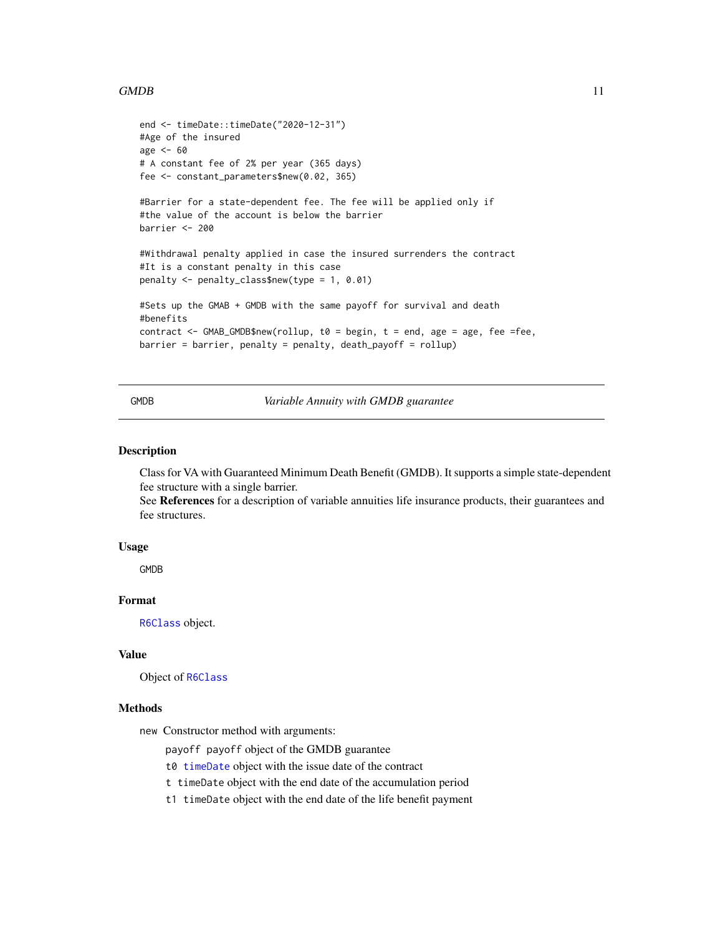#### <span id="page-10-0"></span> $GMDB$  11

```
end <- timeDate::timeDate("2020-12-31")
#Age of the insured
age <- 60
# A constant fee of 2% per year (365 days)
fee <- constant_parameters$new(0.02, 365)
#Barrier for a state-dependent fee. The fee will be applied only if
#the value of the account is below the barrier
barrier <- 200
#Withdrawal penalty applied in case the insured surrenders the contract
#It is a constant penalty in this case
penalty <- penalty_class$new(type = 1, 0.01)
#Sets up the GMAB + GMDB with the same payoff for survival and death
#benefits
contract <- GMAB_GMDB$new(rollup, t0 = begin, t = end, age = age, fee =fee,
barrier = barrier, penalty = penalty, death_payoff = rollup)
```
GMDB *Variable Annuity with GMDB guarantee*

#### Description

Class for VA with Guaranteed Minimum Death Benefit (GMDB). It supports a simple state-dependent fee structure with a single barrier.

See References for a description of variable annuities life insurance products, their guarantees and fee structures.

#### Usage

GMDB

#### Format

[R6Class](#page-0-0) object.

#### Value

Object of [R6Class](#page-0-0)

#### Methods

new Constructor method with arguments:

payoff payoff object of the GMDB guarantee

- t0 [timeDate](#page-0-0) object with the issue date of the contract
- t timeDate object with the end date of the accumulation period
- t1 timeDate object with the end date of the life benefit payment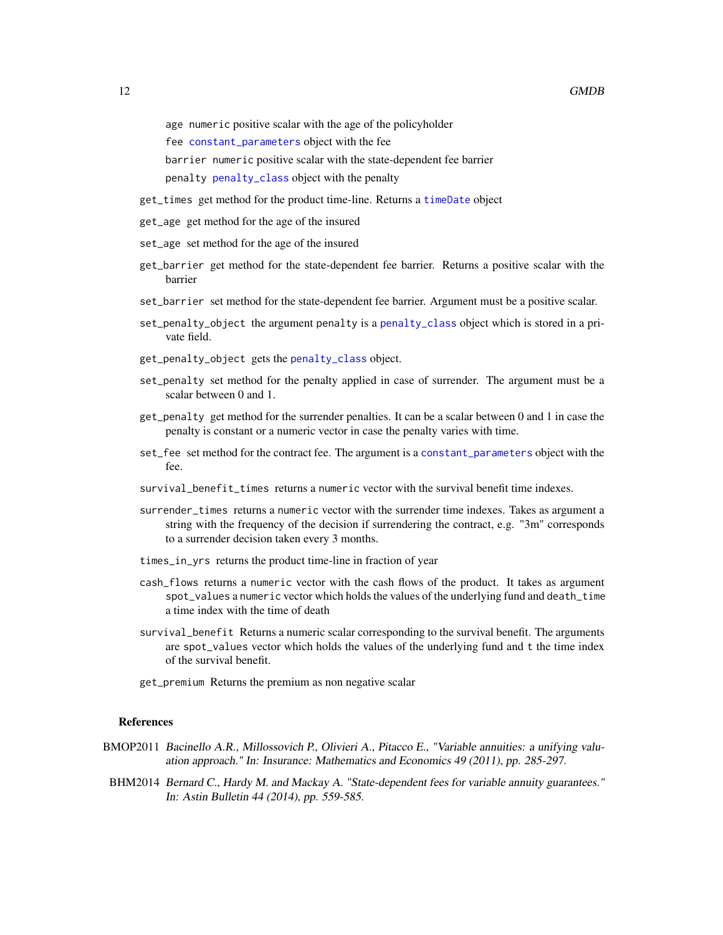<span id="page-11-0"></span>age numeric positive scalar with the age of the policyholder

fee [constant\\_parameters](#page-2-1) object with the fee

barrier numeric positive scalar with the state-dependent fee barrier

- penalty [penalty\\_class](#page-24-1) object with the penalty
- get\_times get method for the product time-line. Returns a [timeDate](#page-0-0) object
- get\_age get method for the age of the insured
- set\_age set method for the age of the insured
- get\_barrier get method for the state-dependent fee barrier. Returns a positive scalar with the barrier
- set\_barrier set method for the state-dependent fee barrier. Argument must be a positive scalar.
- set\_penalty\_object the argument penalty is a [penalty\\_class](#page-24-1) object which is stored in a private field.
- get\_penalty\_object gets the [penalty\\_class](#page-24-1) object.
- set\_penalty set method for the penalty applied in case of surrender. The argument must be a scalar between 0 and 1.
- get\_penalty get method for the surrender penalties. It can be a scalar between 0 and 1 in case the penalty is constant or a numeric vector in case the penalty varies with time.
- set\_fee set method for the contract fee. The argument is a [constant\\_parameters](#page-2-1) object with the fee.
- survival\_benefit\_times returns a numeric vector with the survival benefit time indexes.
- surrender\_times returns a numeric vector with the surrender time indexes. Takes as argument a string with the frequency of the decision if surrendering the contract, e.g. "3m" corresponds to a surrender decision taken every 3 months.
- times\_in\_yrs returns the product time-line in fraction of year
- cash\_flows returns a numeric vector with the cash flows of the product. It takes as argument spot\_values a numeric vector which holds the values of the underlying fund and death\_time a time index with the time of death
- survival\_benefit Returns a numeric scalar corresponding to the survival benefit. The arguments are spot\_values vector which holds the values of the underlying fund and t the time index of the survival benefit.
- get\_premium Returns the premium as non negative scalar

#### References

- BMOP2011 Bacinello A.R., Millossovich P., Olivieri A., Pitacco E., "Variable annuities: a unifying valuation approach." In: Insurance: Mathematics and Economics 49 (2011), pp. 285-297.
- BHM2014 Bernard C., Hardy M. and Mackay A. "State-dependent fees for variable annuity guarantees." In: Astin Bulletin 44 (2014), pp. 559-585.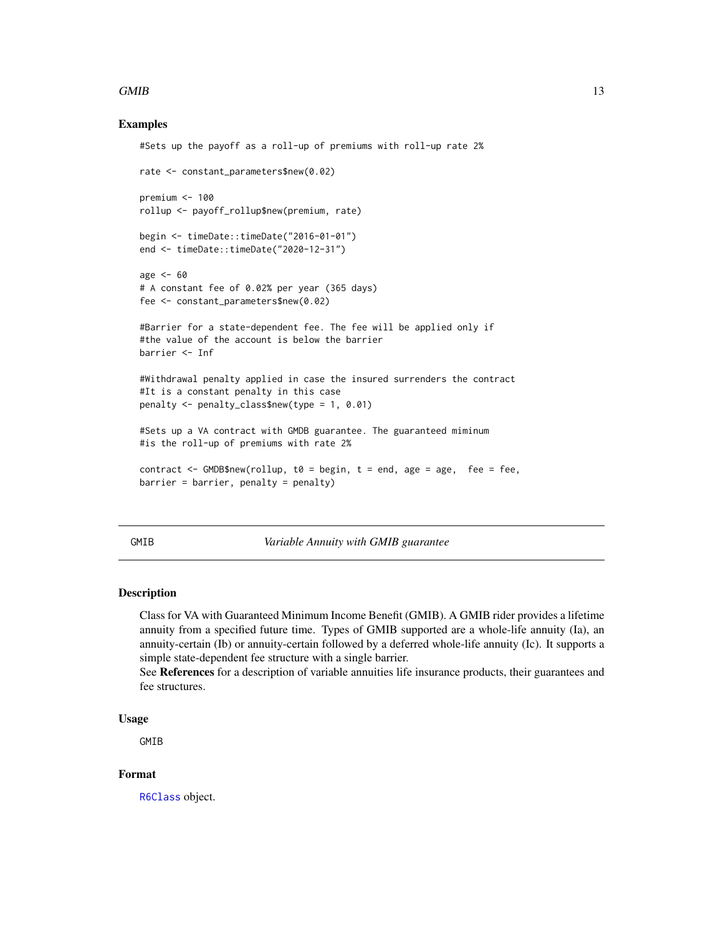#### <span id="page-12-0"></span> $GMIB$  13

#### Examples

```
#Sets up the payoff as a roll-up of premiums with roll-up rate 2%
rate <- constant_parameters$new(0.02)
premium <- 100
rollup <- payoff_rollup$new(premium, rate)
begin <- timeDate::timeDate("2016-01-01")
end <- timeDate::timeDate("2020-12-31")
age <- 60
# A constant fee of 0.02% per year (365 days)
fee <- constant_parameters$new(0.02)
#Barrier for a state-dependent fee. The fee will be applied only if
#the value of the account is below the barrier
barrier <- Inf
#Withdrawal penalty applied in case the insured surrenders the contract
#It is a constant penalty in this case
penalty <- penalty_class$new(type = 1, 0.01)
#Sets up a VA contract with GMDB guarantee. The guaranteed miminum
#is the roll-up of premiums with rate 2%
contract \leq GMDB$new(rollup, t0 = begin, t = end, age = age, fee = fee,
barrier = barrier, penalty = penalty)
```
GMIB *Variable Annuity with GMIB guarantee*

#### Description

Class for VA with Guaranteed Minimum Income Benefit (GMIB). A GMIB rider provides a lifetime annuity from a specified future time. Types of GMIB supported are a whole-life annuity (Ia), an annuity-certain (Ib) or annuity-certain followed by a deferred whole-life annuity (Ic). It supports a simple state-dependent fee structure with a single barrier.

See References for a description of variable annuities life insurance products, their guarantees and fee structures.

#### Usage

GMIB

### Format

[R6Class](#page-0-0) object.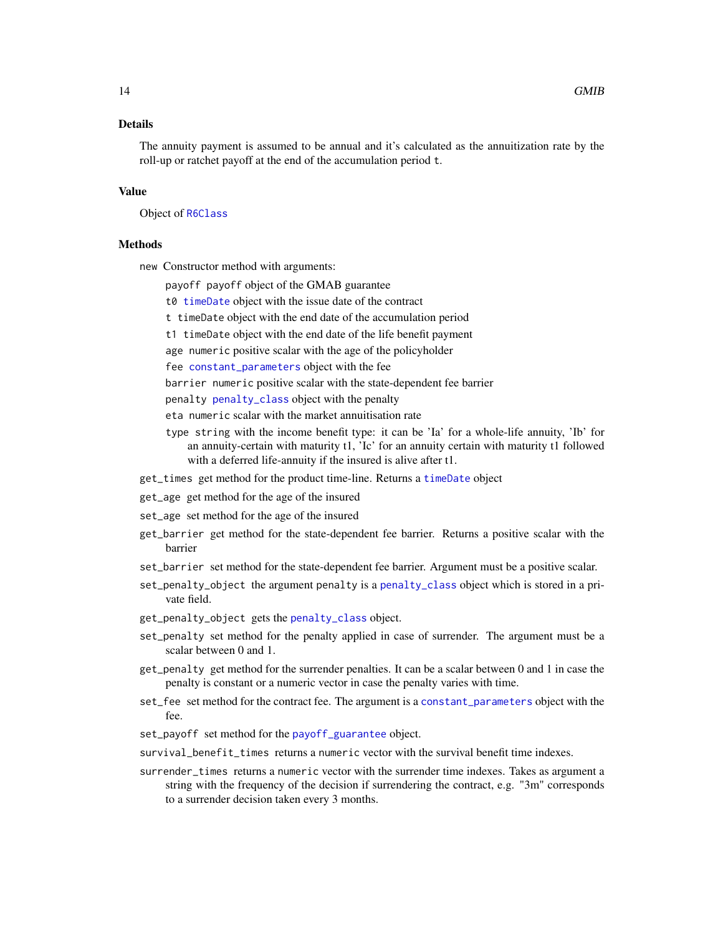#### <span id="page-13-0"></span>Details

The annuity payment is assumed to be annual and it's calculated as the annuitization rate by the roll-up or ratchet payoff at the end of the accumulation period t.

#### Value

Object of [R6Class](#page-0-0)

#### Methods

new Constructor method with arguments:

payoff payoff object of the GMAB guarantee

- t0 [timeDate](#page-0-0) object with the issue date of the contract
- t timeDate object with the end date of the accumulation period
- t1 timeDate object with the end date of the life benefit payment

age numeric positive scalar with the age of the policyholder

fee [constant\\_parameters](#page-2-1) object with the fee

barrier numeric positive scalar with the state-dependent fee barrier

- penalty [penalty\\_class](#page-24-1) object with the penalty
- eta numeric scalar with the market annuitisation rate
- type string with the income benefit type: it can be 'Ia' for a whole-life annuity, 'Ib' for an annuity-certain with maturity t1, 'Ic' for an annuity certain with maturity t1 followed with a deferred life-annuity if the insured is alive after t1.
- get\_times get method for the product time-line. Returns a [timeDate](#page-0-0) object
- get\_age get method for the age of the insured
- set\_age set method for the age of the insured
- get\_barrier get method for the state-dependent fee barrier. Returns a positive scalar with the barrier
- set\_barrier set method for the state-dependent fee barrier. Argument must be a positive scalar.
- set\_penalty\_object the argument penalty is a [penalty\\_class](#page-24-1) object which is stored in a private field.
- get\_penalty\_object gets the [penalty\\_class](#page-24-1) object.
- set\_penalty set method for the penalty applied in case of surrender. The argument must be a scalar between 0 and 1.
- get\_penalty get method for the surrender penalties. It can be a scalar between 0 and 1 in case the penalty is constant or a numeric vector in case the penalty varies with time.
- set\_fee set method for the contract fee. The argument is a [constant\\_parameters](#page-2-1) object with the fee.
- set\_payoff set method for the [payoff\\_guarantee](#page-21-1) object.
- survival\_benefit\_times returns a numeric vector with the survival benefit time indexes.
- surrender\_times returns a numeric vector with the surrender time indexes. Takes as argument a string with the frequency of the decision if surrendering the contract, e.g. "3m" corresponds to a surrender decision taken every 3 months.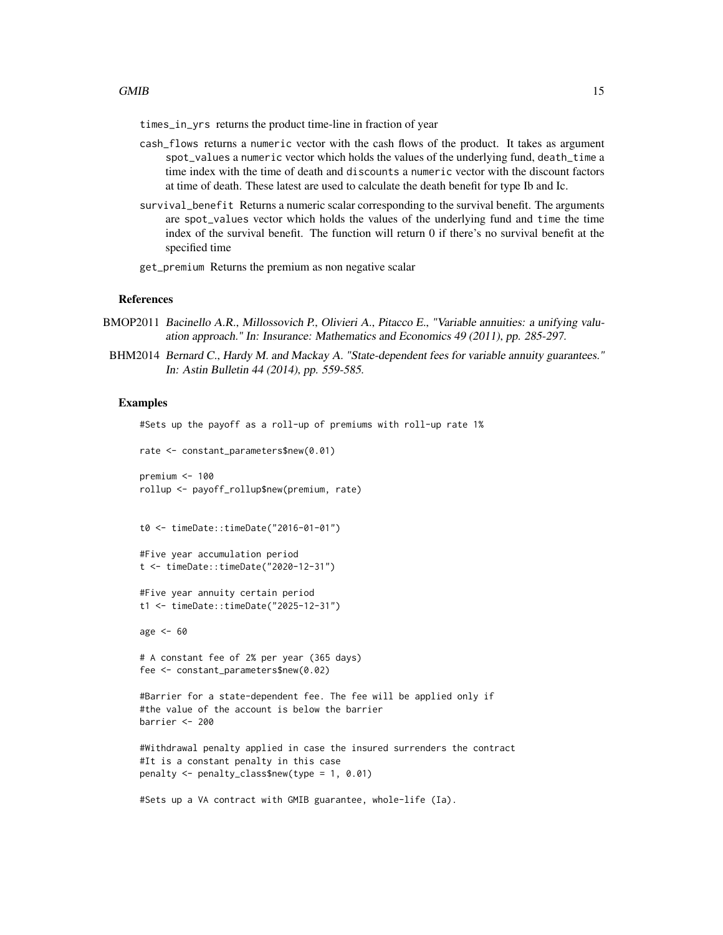times\_in\_yrs returns the product time-line in fraction of year

- cash\_flows returns a numeric vector with the cash flows of the product. It takes as argument spot\_values a numeric vector which holds the values of the underlying fund, death\_time a time index with the time of death and discounts a numeric vector with the discount factors at time of death. These latest are used to calculate the death benefit for type Ib and Ic.
- survival\_benefit Returns a numeric scalar corresponding to the survival benefit. The arguments are spot\_values vector which holds the values of the underlying fund and time the time index of the survival benefit. The function will return 0 if there's no survival benefit at the specified time
- get\_premium Returns the premium as non negative scalar

#### References

- BMOP2011 Bacinello A.R., Millossovich P., Olivieri A., Pitacco E., "Variable annuities: a unifying valuation approach." In: Insurance: Mathematics and Economics 49 (2011), pp. 285-297.
- BHM2014 Bernard C., Hardy M. and Mackay A. "State-dependent fees for variable annuity guarantees." In: Astin Bulletin 44 (2014), pp. 559-585.

#### Examples

#Sets up the payoff as a roll-up of premiums with roll-up rate 1% rate <- constant\_parameters\$new(0.01)

```
premium <- 100
rollup <- payoff_rollup$new(premium, rate)
```

```
t0 <- timeDate::timeDate("2016-01-01")
```

```
#Five year accumulation period
t <- timeDate::timeDate("2020-12-31")
```

```
#Five year annuity certain period
t1 <- timeDate::timeDate("2025-12-31")
```
age  $<-60$ 

```
# A constant fee of 2% per year (365 days)
fee <- constant_parameters$new(0.02)
```

```
#Barrier for a state-dependent fee. The fee will be applied only if
#the value of the account is below the barrier
barrier <- 200
```

```
#Withdrawal penalty applied in case the insured surrenders the contract
#It is a constant penalty in this case
penalty <- penalty_class$new(type = 1, 0.01)
```

```
#Sets up a VA contract with GMIB guarantee, whole-life (Ia).
```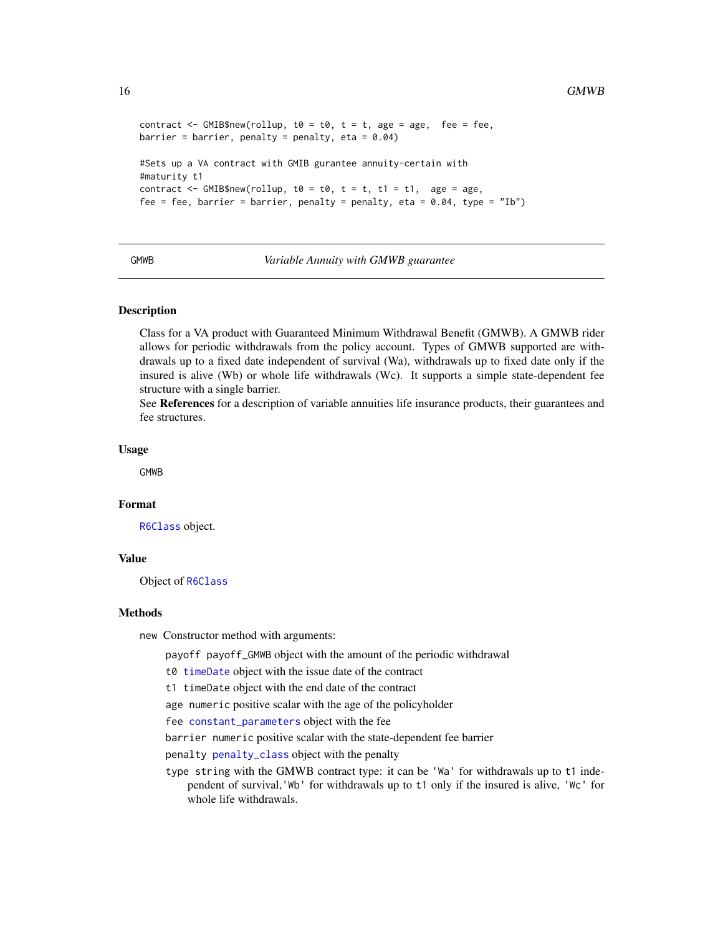```
contract \leq GMIB$new(rollup, t0 = t0, t = t, age = age, fee = fee,
barrier = barrier, penalty = penalty, eta = 0.04)
#Sets up a VA contract with GMIB gurantee annuity-certain with
#maturity t1
contract \leq GMIB$new(rollup, t0 = t0, t = t, t1 = t1, age = age,
fee = fee, barrier = barrier, penalty = penalty, eta = 0.04, type = "Ib")
```
#### GMWB *Variable Annuity with GMWB guarantee*

#### Description

Class for a VA product with Guaranteed Minimum Withdrawal Benefit (GMWB). A GMWB rider allows for periodic withdrawals from the policy account. Types of GMWB supported are withdrawals up to a fixed date independent of survival (Wa), withdrawals up to fixed date only if the insured is alive (Wb) or whole life withdrawals (Wc). It supports a simple state-dependent fee structure with a single barrier.

See References for a description of variable annuities life insurance products, their guarantees and fee structures.

#### Usage

GMWB

#### Format

[R6Class](#page-0-0) object.

### Value

Object of [R6Class](#page-0-0)

#### Methods

new Constructor method with arguments:

payoff payoff\_GMWB object with the amount of the periodic withdrawal

t0 [timeDate](#page-0-0) object with the issue date of the contract

t1 timeDate object with the end date of the contract

age numeric positive scalar with the age of the policyholder

fee [constant\\_parameters](#page-2-1) object with the fee

barrier numeric positive scalar with the state-dependent fee barrier

penalty [penalty\\_class](#page-24-1) object with the penalty

type string with the GMWB contract type: it can be 'Wa' for withdrawals up to t1 independent of survival,'Wb' for withdrawals up to t1 only if the insured is alive, 'Wc' for whole life withdrawals.

<span id="page-15-0"></span>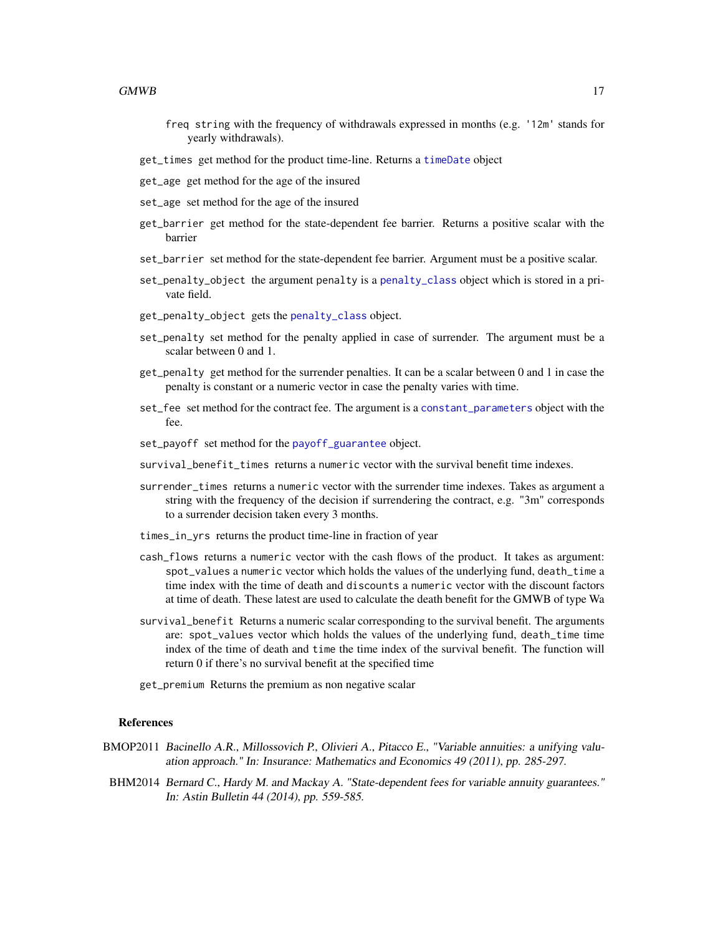- <span id="page-16-0"></span>freq string with the frequency of withdrawals expressed in months (e.g. '12m' stands for yearly withdrawals).
- get\_times get method for the product time-line. Returns a [timeDate](#page-0-0) object
- get\_age get method for the age of the insured
- set\_age set method for the age of the insured
- get\_barrier get method for the state-dependent fee barrier. Returns a positive scalar with the barrier
- set\_barrier set method for the state-dependent fee barrier. Argument must be a positive scalar.
- set\_penalty\_object the argument penalty is a [penalty\\_class](#page-24-1) object which is stored in a private field.
- get\_penalty\_object gets the [penalty\\_class](#page-24-1) object.
- set\_penalty set method for the penalty applied in case of surrender. The argument must be a scalar between 0 and 1.
- get\_penalty get method for the surrender penalties. It can be a scalar between 0 and 1 in case the penalty is constant or a numeric vector in case the penalty varies with time.
- set\_fee set method for the contract fee. The argument is a [constant\\_parameters](#page-2-1) object with the fee.
- set\_payoff set method for the [payoff\\_guarantee](#page-21-1) object.
- survival benefit times returns a numeric vector with the survival benefit time indexes.
- surrender\_times returns a numeric vector with the surrender time indexes. Takes as argument a string with the frequency of the decision if surrendering the contract, e.g. "3m" corresponds to a surrender decision taken every 3 months.
- times\_in\_yrs returns the product time-line in fraction of year
- cash\_flows returns a numeric vector with the cash flows of the product. It takes as argument: spot\_values a numeric vector which holds the values of the underlying fund, death\_time a time index with the time of death and discounts a numeric vector with the discount factors at time of death. These latest are used to calculate the death benefit for the GMWB of type Wa
- survival\_benefit Returns a numeric scalar corresponding to the survival benefit. The arguments are: spot\_values vector which holds the values of the underlying fund, death\_time time index of the time of death and time the time index of the survival benefit. The function will return 0 if there's no survival benefit at the specified time
- get\_premium Returns the premium as non negative scalar

#### References

- BMOP2011 Bacinello A.R., Millossovich P., Olivieri A., Pitacco E., "Variable annuities: a unifying valuation approach." In: Insurance: Mathematics and Economics 49 (2011), pp. 285-297.
- BHM2014 Bernard C., Hardy M. and Mackay A. "State-dependent fees for variable annuity guarantees." In: Astin Bulletin 44 (2014), pp. 559-585.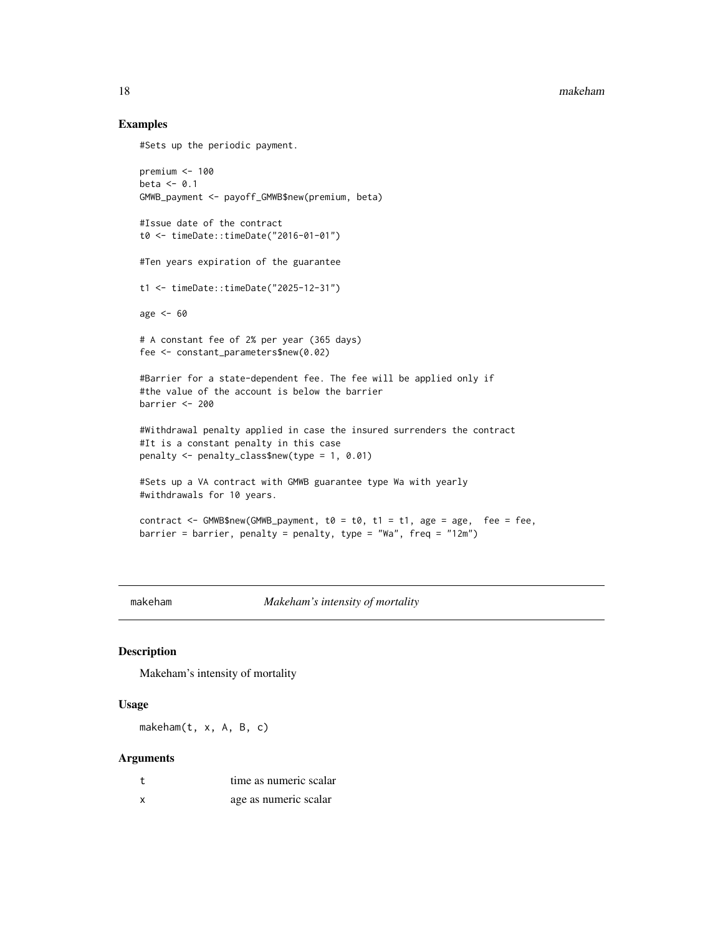#### Examples

```
#Sets up the periodic payment.
```

```
premium <- 100
beta \leq 0.1GMWB_payment <- payoff_GMWB$new(premium, beta)
#Issue date of the contract
t0 <- timeDate::timeDate("2016-01-01")
#Ten years expiration of the guarantee
t1 <- timeDate::timeDate("2025-12-31")
age <- 60
# A constant fee of 2% per year (365 days)
fee <- constant_parameters$new(0.02)
#Barrier for a state-dependent fee. The fee will be applied only if
#the value of the account is below the barrier
barrier <- 200
#Withdrawal penalty applied in case the insured surrenders the contract
#It is a constant penalty in this case
penalty <- penalty_class$new(type = 1, 0.01)
#Sets up a VA contract with GMWB guarantee type Wa with yearly
#withdrawals for 10 years.
contract <- GMWB$new(GMWB_payment, t0 = t0, t1 = t1, age = age, fee = fee,
barrier = barrier, penalty = penalty, type = "Wa", freq = "12m")
```
<span id="page-17-1"></span>makeham *Makeham's intensity of mortality*

#### Description

Makeham's intensity of mortality

#### Usage

makeham(t, x, A, B, c)

#### Arguments

|   | time as numeric scalar |
|---|------------------------|
| x | age as numeric scalar  |

<span id="page-17-0"></span>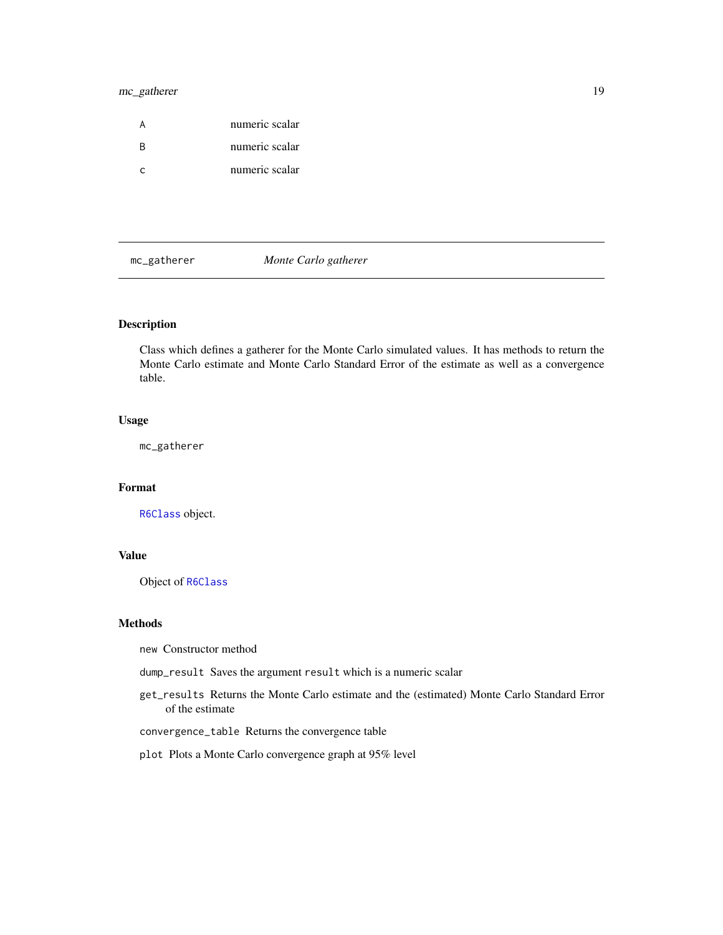#### <span id="page-18-0"></span>mc\_gatherer 19

|   | numeric scalar |
|---|----------------|
| R | numeric scalar |
|   | numeric scalar |

mc\_gatherer *Monte Carlo gatherer*

#### Description

Class which defines a gatherer for the Monte Carlo simulated values. It has methods to return the Monte Carlo estimate and Monte Carlo Standard Error of the estimate as well as a convergence table.

#### Usage

mc\_gatherer

### Format

[R6Class](#page-0-0) object.

#### Value

Object of [R6Class](#page-0-0)

#### Methods

new Constructor method

dump\_result Saves the argument result which is a numeric scalar

get\_results Returns the Monte Carlo estimate and the (estimated) Monte Carlo Standard Error of the estimate

convergence\_table Returns the convergence table

#### plot Plots a Monte Carlo convergence graph at 95% level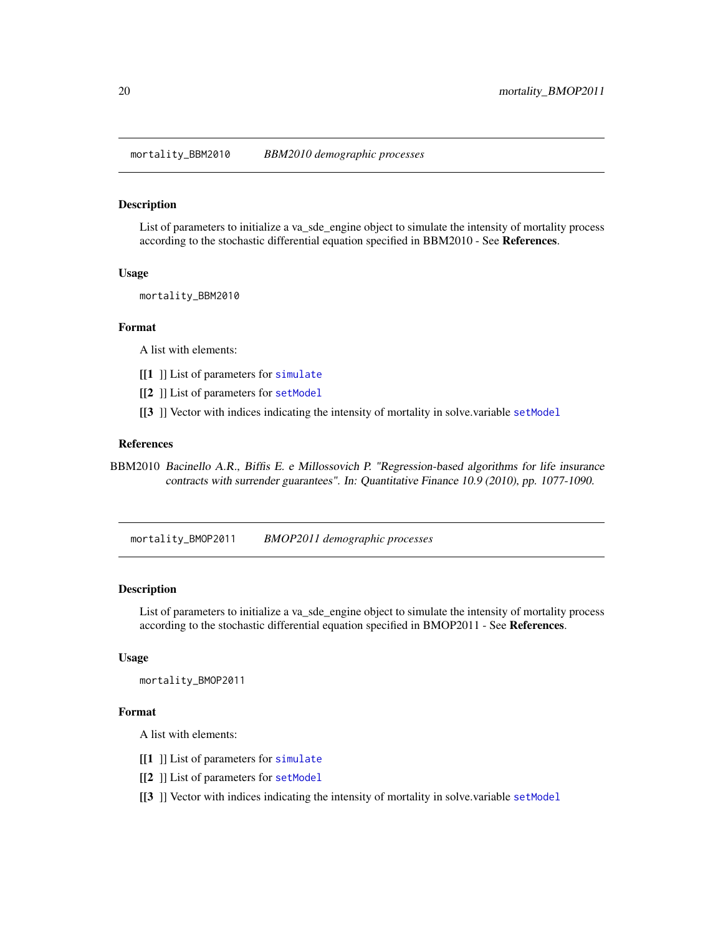<span id="page-19-0"></span>mortality\_BBM2010 *BBM2010 demographic processes*

#### Description

List of parameters to initialize a va\_sde\_engine object to simulate the intensity of mortality process according to the stochastic differential equation specified in BBM2010 - See References.

#### Usage

mortality\_BBM2010

#### Format

A list with elements:

- [[1] ] List of parameters for [simulate](#page-0-0)
- [[2] ] List of parameters for [setModel](#page-0-0)
- [[3 ]] Vector with indices indicating the intensity of mortality in solve.variable [setModel](#page-0-0)

#### References

BBM2010 Bacinello A.R., Biffis E. e Millossovich P. "Regression-based algorithms for life insurance contracts with surrender guarantees". In: Quantitative Finance 10.9 (2010), pp. 1077-1090.

<span id="page-19-1"></span>mortality\_BMOP2011 *BMOP2011 demographic processes*

#### Description

List of parameters to initialize a va\_sde\_engine object to simulate the intensity of mortality process according to the stochastic differential equation specified in BMOP2011 - See References.

#### Usage

mortality\_BMOP2011

#### Format

A list with elements:

- [[1] ] List of parameters for [simulate](#page-0-0)
- [[2 ]] List of parameters for [setModel](#page-0-0)
- [[3 ]] Vector with indices indicating the intensity of mortality in solve.variable [setModel](#page-0-0)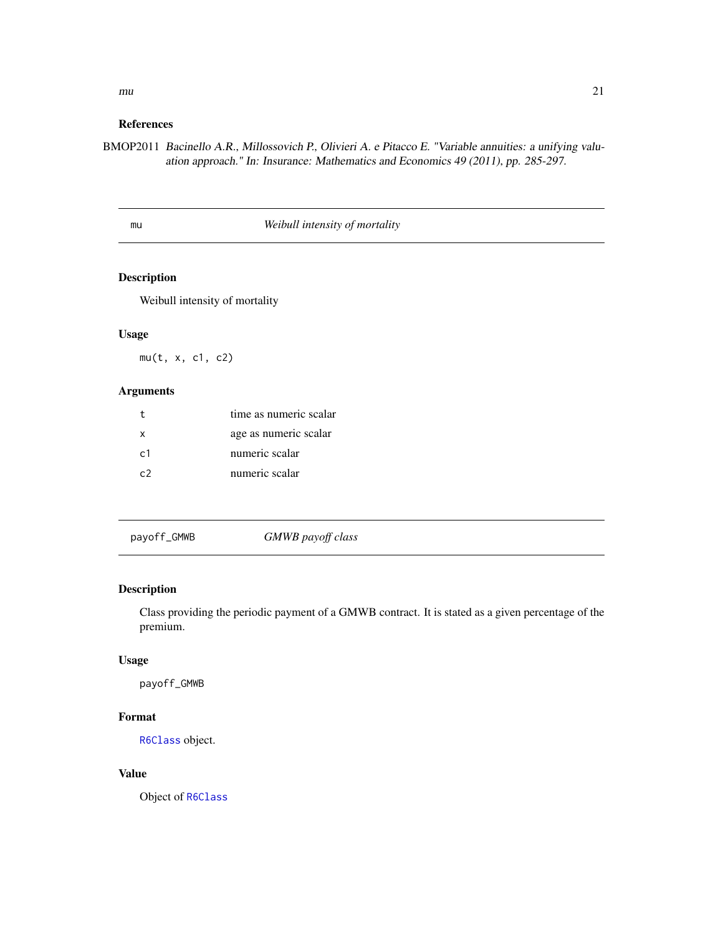<span id="page-20-0"></span> $mu$  21

#### References

BMOP2011 Bacinello A.R., Millossovich P., Olivieri A. e Pitacco E. "Variable annuities: a unifying valuation approach." In: Insurance: Mathematics and Economics 49 (2011), pp. 285-297.

<span id="page-20-1"></span>mu *Weibull intensity of mortality*

#### Description

Weibull intensity of mortality

#### Usage

mu(t, x, c1, c2)

#### Arguments

|                 | time as numeric scalar |
|-----------------|------------------------|
| X               | age as numeric scalar  |
| $\mathsf{c}1$   | numeric scalar         |
| $\mathcal{C}^2$ | numeric scalar         |

payoff\_GMWB *GMWB payoff class*

#### Description

Class providing the periodic payment of a GMWB contract. It is stated as a given percentage of the premium.

#### Usage

payoff\_GMWB

#### Format

[R6Class](#page-0-0) object.

#### Value

Object of [R6Class](#page-0-0)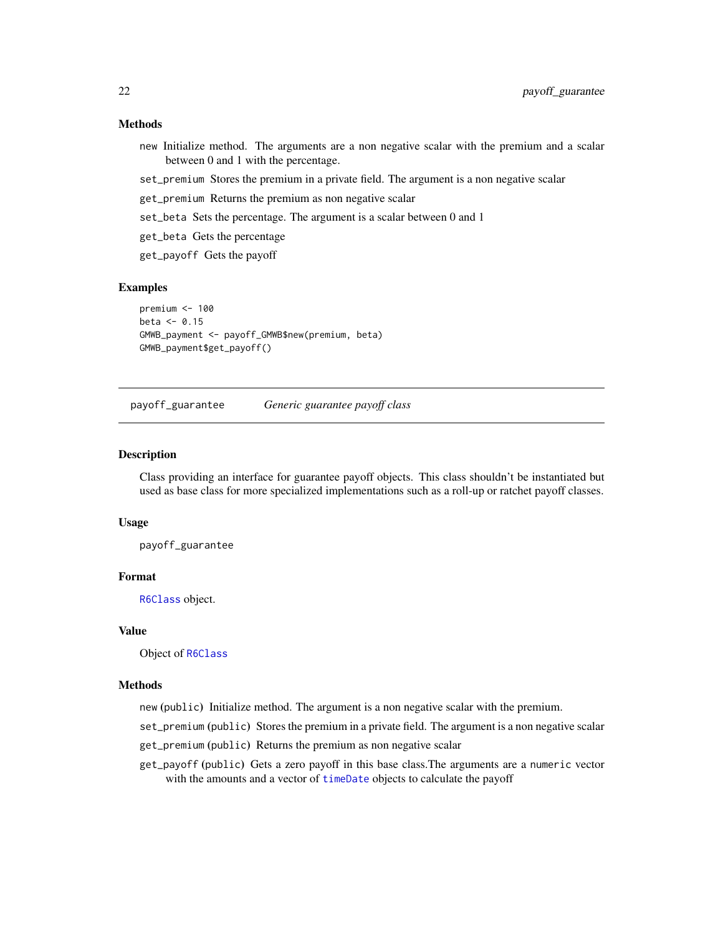#### <span id="page-21-0"></span>Methods

- new Initialize method. The arguments are a non negative scalar with the premium and a scalar between 0 and 1 with the percentage.
- set\_premium Stores the premium in a private field. The argument is a non negative scalar
- get\_premium Returns the premium as non negative scalar
- set\_beta Sets the percentage. The argument is a scalar between 0 and 1
- get\_beta Gets the percentage
- get\_payoff Gets the payoff

#### Examples

```
premium <- 100
beta \leq 0.15GMWB_payment <- payoff_GMWB$new(premium, beta)
GMWB_payment$get_payoff()
```
<span id="page-21-1"></span>payoff\_guarantee *Generic guarantee payoff class*

#### Description

Class providing an interface for guarantee payoff objects. This class shouldn't be instantiated but used as base class for more specialized implementations such as a roll-up or ratchet payoff classes.

#### Usage

payoff\_guarantee

#### Format

[R6Class](#page-0-0) object.

### Value

Object of [R6Class](#page-0-0)

#### Methods

new (public) Initialize method. The argument is a non negative scalar with the premium.

- set\_premium (public) Stores the premium in a private field. The argument is a non negative scalar
- get\_premium (public) Returns the premium as non negative scalar
- get\_payoff (public) Gets a zero payoff in this base class.The arguments are a numeric vector with the amounts and a vector of [timeDate](#page-0-0) objects to calculate the payoff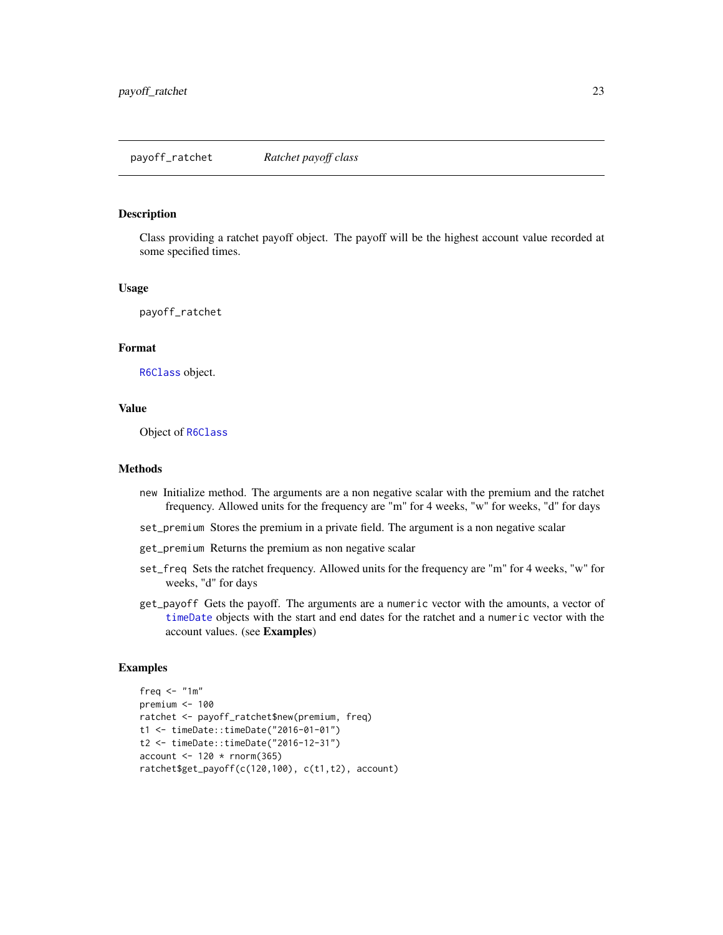<span id="page-22-0"></span>payoff\_ratchet *Ratchet payoff class*

#### Description

Class providing a ratchet payoff object. The payoff will be the highest account value recorded at some specified times.

#### Usage

payoff\_ratchet

#### Format

[R6Class](#page-0-0) object.

#### Value

Object of [R6Class](#page-0-0)

#### Methods

- new Initialize method. The arguments are a non negative scalar with the premium and the ratchet frequency. Allowed units for the frequency are "m" for 4 weeks, "w" for weeks, "d" for days
- set\_premium Stores the premium in a private field. The argument is a non negative scalar
- get\_premium Returns the premium as non negative scalar
- set\_freq Sets the ratchet frequency. Allowed units for the frequency are "m" for 4 weeks, "w" for weeks, "d" for days
- get\_payoff Gets the payoff. The arguments are a numeric vector with the amounts, a vector of [timeDate](#page-0-0) objects with the start and end dates for the ratchet and a numeric vector with the account values. (see Examples)

```
freq \leq "1m"
premium <-100ratchet <- payoff_ratchet$new(premium, freq)
t1 <- timeDate::timeDate("2016-01-01")
t2 <- timeDate::timeDate("2016-12-31")
account < -120 * rnorm(365)ratchet$get_payoff(c(120,100), c(t1,t2), account)
```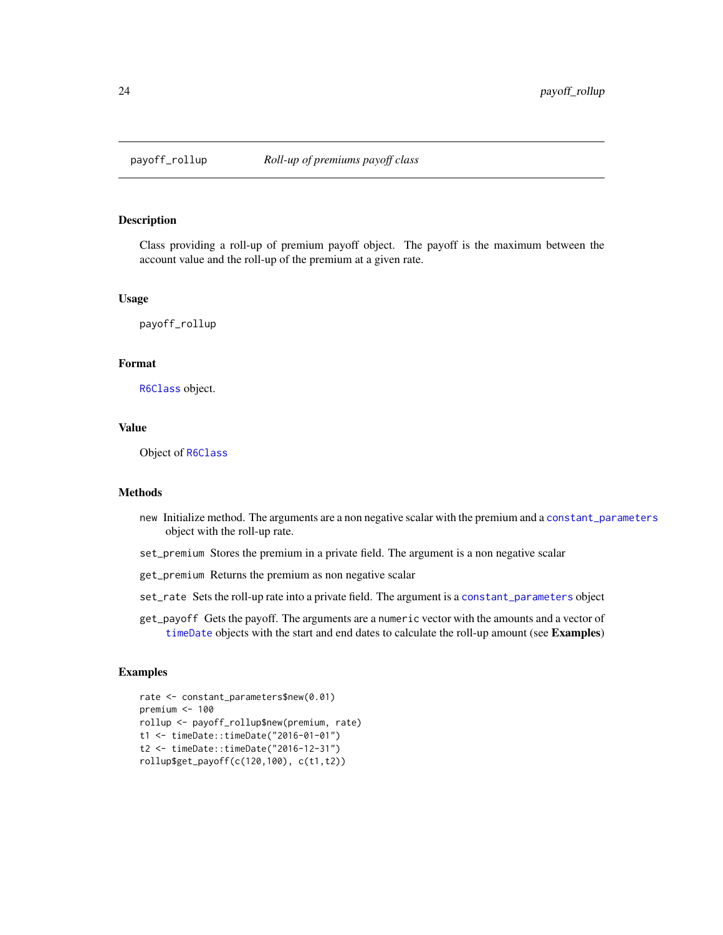<span id="page-23-0"></span>

#### Description

Class providing a roll-up of premium payoff object. The payoff is the maximum between the account value and the roll-up of the premium at a given rate.

#### Usage

payoff\_rollup

#### Format

[R6Class](#page-0-0) object.

#### Value

Object of [R6Class](#page-0-0)

#### Methods

- new Initialize method. The arguments are a non negative scalar with the premium and a [constant\\_parameters](#page-2-1) object with the roll-up rate.
- set\_premium Stores the premium in a private field. The argument is a non negative scalar
- get\_premium Returns the premium as non negative scalar
- set\_rate Sets the roll-up rate into a private field. The argument is a [constant\\_parameters](#page-2-1) object
- get\_payoff Gets the payoff. The arguments are a numeric vector with the amounts and a vector of [timeDate](#page-0-0) objects with the start and end dates to calculate the roll-up amount (see Examples)

```
rate <- constant_parameters$new(0.01)
premium <- 100
rollup <- payoff_rollup$new(premium, rate)
t1 <- timeDate::timeDate("2016-01-01")
t2 <- timeDate::timeDate("2016-12-31")
rollup$get_payoff(c(120,100), c(t1,t2))
```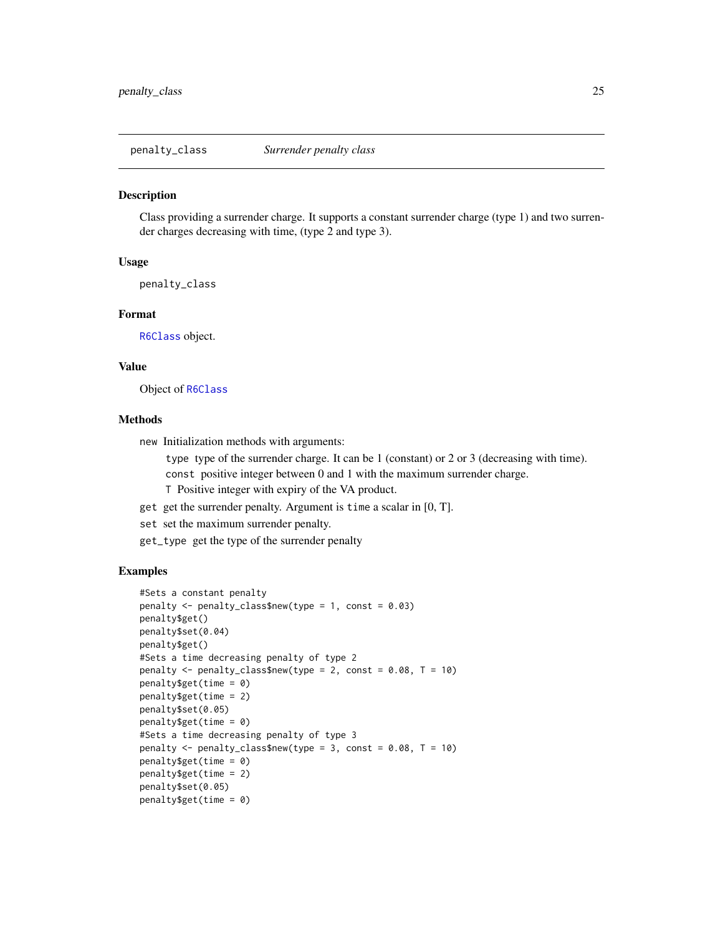<span id="page-24-1"></span><span id="page-24-0"></span>penalty\_class *Surrender penalty class*

#### Description

Class providing a surrender charge. It supports a constant surrender charge (type 1) and two surrender charges decreasing with time, (type 2 and type 3).

#### Usage

penalty\_class

#### Format

[R6Class](#page-0-0) object.

#### Value

Object of [R6Class](#page-0-0)

#### Methods

new Initialization methods with arguments:

type type of the surrender charge. It can be 1 (constant) or 2 or 3 (decreasing with time). const positive integer between 0 and 1 with the maximum surrender charge.

- T Positive integer with expiry of the VA product.
- get get the surrender penalty. Argument is time a scalar in [0, T].
- set set the maximum surrender penalty.
- get\_type get the type of the surrender penalty

```
#Sets a constant penalty
penalty \leq penalty_class$new(type = 1, const = 0.03)
penalty$get()
penalty$set(0.04)
penalty$get()
#Sets a time decreasing penalty of type 2
penalty \leq penalty_class$new(type = 2, const = 0.08, T = 10)
penalty$get(time = 0)
penalty$get(time = 2)
penalty$set(0.05)
penalty$get(time = 0)
#Sets a time decreasing penalty of type 3
penalty \le penalty_class$new(type = 3, const = 0.08, T = 10)
penalty$get(time = 0)
penalty$get(time = 2)
penalty$set(0.05)
penalty$get(time = 0)
```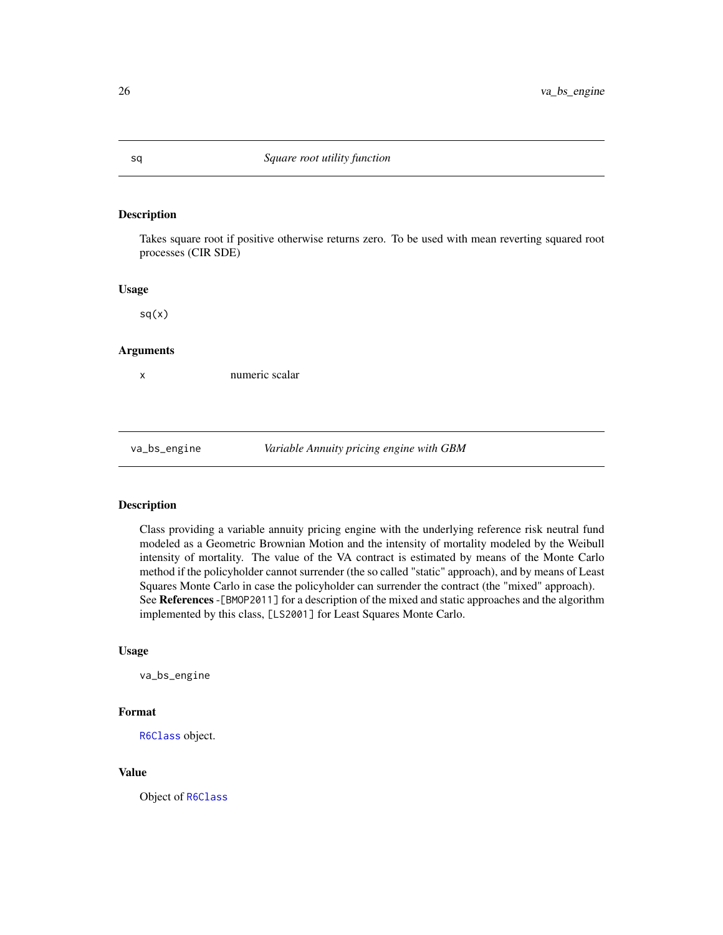#### Description

Takes square root if positive otherwise returns zero. To be used with mean reverting squared root processes (CIR SDE)

#### Usage

 $sq(x)$ 

#### Arguments

x numeric scalar

va\_bs\_engine *Variable Annuity pricing engine with GBM*

#### Description

Class providing a variable annuity pricing engine with the underlying reference risk neutral fund modeled as a Geometric Brownian Motion and the intensity of mortality modeled by the Weibull intensity of mortality. The value of the VA contract is estimated by means of the Monte Carlo method if the policyholder cannot surrender (the so called "static" approach), and by means of Least Squares Monte Carlo in case the policyholder can surrender the contract (the "mixed" approach). See References -[BMOP2011] for a description of the mixed and static approaches and the algorithm implemented by this class, [LS2001] for Least Squares Monte Carlo.

#### Usage

va\_bs\_engine

#### Format

[R6Class](#page-0-0) object.

#### Value

Object of [R6Class](#page-0-0)

<span id="page-25-0"></span>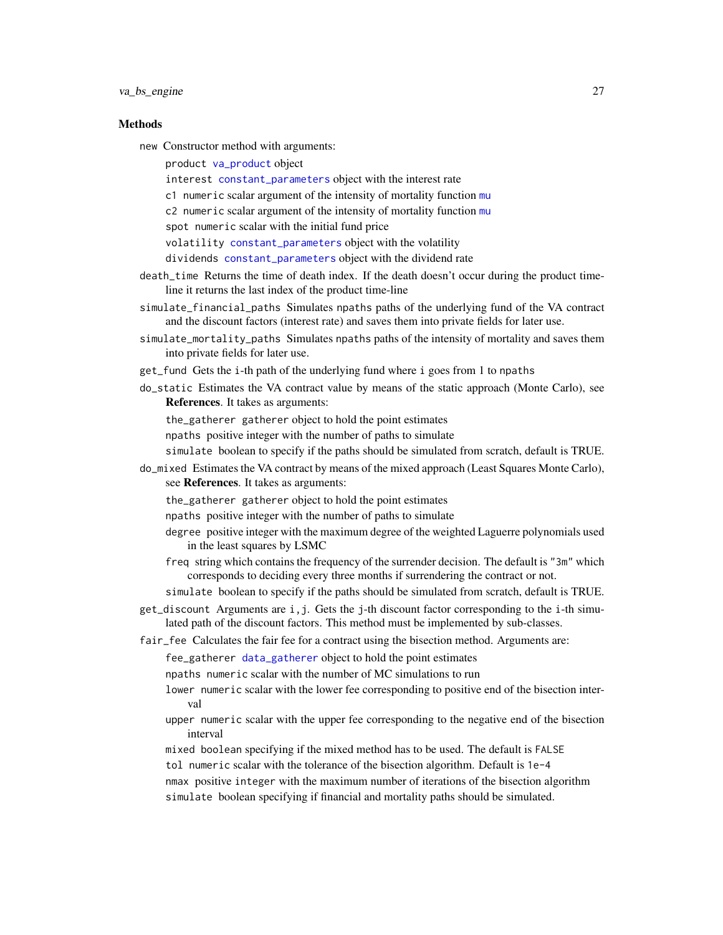#### <span id="page-26-0"></span>**Methods**

- new Constructor method with arguments:
	- product [va\\_product](#page-37-1) object
	- interest [constant\\_parameters](#page-2-1) object with the interest rate
	- c1 numeric scalar argument of the intensity of mortality function [mu](#page-20-1)
	- c2 numeric scalar argument of the intensity of mortality function [mu](#page-20-1)
	- spot numeric scalar with the initial fund price
	- volatility [constant\\_parameters](#page-2-1) object with the volatility
	- dividends [constant\\_parameters](#page-2-1) object with the dividend rate
- death\_time Returns the time of death index. If the death doesn't occur during the product timeline it returns the last index of the product time-line
- simulate\_financial\_paths Simulates npaths paths of the underlying fund of the VA contract and the discount factors (interest rate) and saves them into private fields for later use.
- simulate\_mortality\_paths Simulates npaths paths of the intensity of mortality and saves them into private fields for later use.
- get\_fund Gets the i-th path of the underlying fund where i goes from 1 to npaths
- do\_static Estimates the VA contract value by means of the static approach (Monte Carlo), see References. It takes as arguments:
	- the\_gatherer gatherer object to hold the point estimates
	- npaths positive integer with the number of paths to simulate
	- simulate boolean to specify if the paths should be simulated from scratch, default is TRUE.
- do\_mixed Estimates the VA contract by means of the mixed approach (Least Squares Monte Carlo), see References. It takes as arguments:
	- the\_gatherer gatherer object to hold the point estimates
	- npaths positive integer with the number of paths to simulate
	- degree positive integer with the maximum degree of the weighted Laguerre polynomials used in the least squares by LSMC
	- freq string which contains the frequency of the surrender decision. The default is "3m" which corresponds to deciding every three months if surrendering the contract or not.
	- simulate boolean to specify if the paths should be simulated from scratch, default is TRUE.
- get\_discount Arguments are i,j. Gets the j-th discount factor corresponding to the i-th simulated path of the discount factors. This method must be implemented by sub-classes.
- fair\_fee Calculates the fair fee for a contract using the bisection method. Arguments are:
	- fee\_gatherer [data\\_gatherer](#page-3-1) object to hold the point estimates
	- npaths numeric scalar with the number of MC simulations to run
	- lower numeric scalar with the lower fee corresponding to positive end of the bisection interval
	- upper numeric scalar with the upper fee corresponding to the negative end of the bisection interval
	- mixed boolean specifying if the mixed method has to be used. The default is FALSE
	- tol numeric scalar with the tolerance of the bisection algorithm. Default is 1e-4
	- nmax positive integer with the maximum number of iterations of the bisection algorithm
	- simulate boolean specifying if financial and mortality paths should be simulated.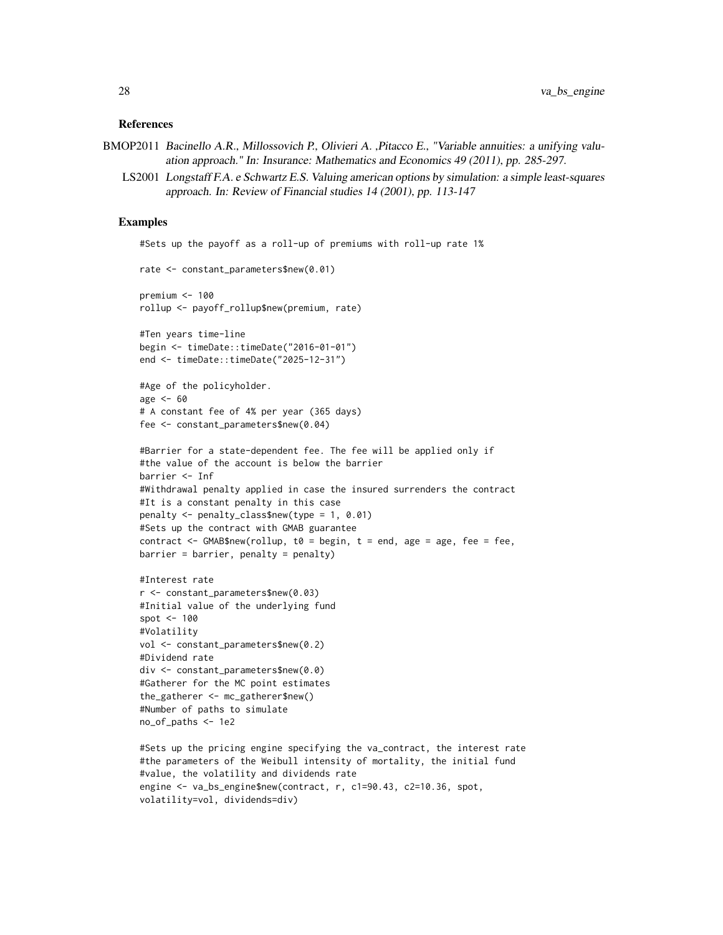#### References

```
BMOP2011 Bacinello A.R., Millossovich P., Olivieri A., Pitacco E., "Variable annuities: a unifying valu-
             ation approach." In: Insurance: Mathematics and Economics 49 (2011), pp. 285-297.
```
LS2001 Longstaff F.A. e Schwartz E.S. Valuing american options by simulation: a simple least-squares approach. In: Review of Financial studies 14 (2001), pp. 113-147

#### Examples

```
#Sets up the payoff as a roll-up of premiums with roll-up rate 1%
rate <- constant_parameters$new(0.01)
premium <-100rollup <- payoff_rollup$new(premium, rate)
#Ten years time-line
begin <- timeDate::timeDate("2016-01-01")
end <- timeDate::timeDate("2025-12-31")
#Age of the policyholder.
age <-60# A constant fee of 4% per year (365 days)
fee <- constant_parameters$new(0.04)
#Barrier for a state-dependent fee. The fee will be applied only if
#the value of the account is below the barrier
barrier <- Inf
#Withdrawal penalty applied in case the insured surrenders the contract
#It is a constant penalty in this case
penalty <- penalty_class$new(type = 1, 0.01)
#Sets up the contract with GMAB guarantee
contract \leq GMAB$new(rollup, t0 = begin, t = end, age = age, fee = fee,
barrier = barrier, penalty = penalty)
#Interest rate
r <- constant_parameters$new(0.03)
#Initial value of the underlying fund
spot <- 100
#Volatility
vol <- constant_parameters$new(0.2)
#Dividend rate
div <- constant_parameters$new(0.0)
#Gatherer for the MC point estimates
the_gatherer <- mc_gatherer$new()
#Number of paths to simulate
no_of_paths <- 1e2
#Sets up the pricing engine specifying the va_contract, the interest rate
#the parameters of the Weibull intensity of mortality, the initial fund
#value, the volatility and dividends rate
engine <- va_bs_engine$new(contract, r, c1=90.43, c2=10.36, spot,
```
volatility=vol, dividends=div)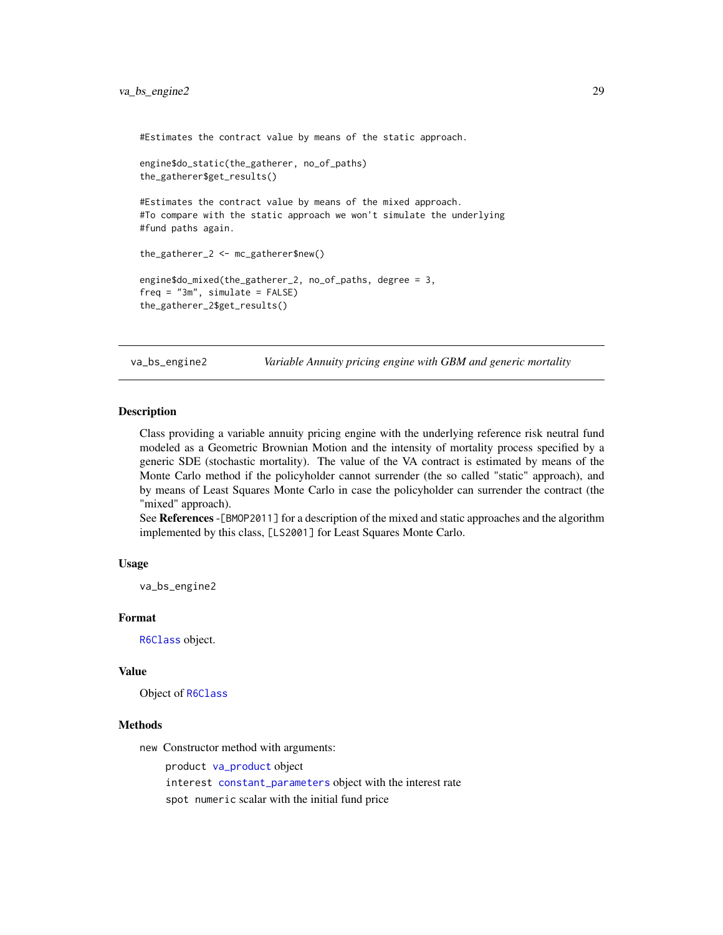<span id="page-28-0"></span>#Estimates the contract value by means of the static approach.

```
engine$do_static(the_gatherer, no_of_paths)
the_gatherer$get_results()
#Estimates the contract value by means of the mixed approach.
#To compare with the static approach we won't simulate the underlying
#fund paths again.
the_gatherer_2 <- mc_gatherer$new()
engine$do_mixed(the_gatherer_2, no_of_paths, degree = 3,
freq = "3m", simulate = FALSE)the_gatherer_2$get_results()
```
va\_bs\_engine2 *Variable Annuity pricing engine with GBM and generic mortality*

#### **Description**

Class providing a variable annuity pricing engine with the underlying reference risk neutral fund modeled as a Geometric Brownian Motion and the intensity of mortality process specified by a generic SDE (stochastic mortality). The value of the VA contract is estimated by means of the Monte Carlo method if the policyholder cannot surrender (the so called "static" approach), and by means of Least Squares Monte Carlo in case the policyholder can surrender the contract (the "mixed" approach).

See References -[BMOP2011] for a description of the mixed and static approaches and the algorithm implemented by this class, [LS2001] for Least Squares Monte Carlo.

#### Usage

va\_bs\_engine2

#### Format

[R6Class](#page-0-0) object.

#### Value

Object of [R6Class](#page-0-0)

#### Methods

new Constructor method with arguments:

product [va\\_product](#page-37-1) object interest [constant\\_parameters](#page-2-1) object with the interest rate spot numeric scalar with the initial fund price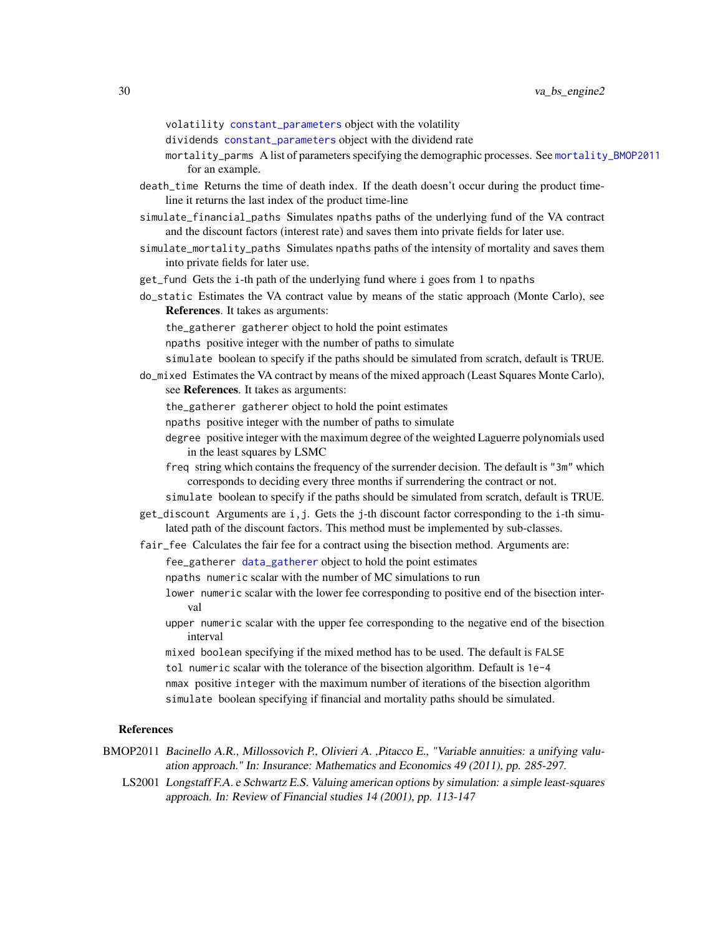- <span id="page-29-0"></span>volatility [constant\\_parameters](#page-2-1) object with the volatility
- dividends [constant\\_parameters](#page-2-1) object with the dividend rate
- mortality\_parms A list of parameters specifying the demographic processes. See [mortality\\_BMOP2011](#page-19-1) for an example.
- death\_time Returns the time of death index. If the death doesn't occur during the product timeline it returns the last index of the product time-line
- simulate\_financial\_paths Simulates npaths paths of the underlying fund of the VA contract and the discount factors (interest rate) and saves them into private fields for later use.
- simulate\_mortality\_paths Simulates npaths paths of the intensity of mortality and saves them into private fields for later use.
- get\_fund Gets the i-th path of the underlying fund where i goes from 1 to npaths
- do\_static Estimates the VA contract value by means of the static approach (Monte Carlo), see References. It takes as arguments:
	- the\_gatherer gatherer object to hold the point estimates
	- npaths positive integer with the number of paths to simulate
	- simulate boolean to specify if the paths should be simulated from scratch, default is TRUE.
- do\_mixed Estimates the VA contract by means of the mixed approach (Least Squares Monte Carlo), see References. It takes as arguments:
	- the\_gatherer gatherer object to hold the point estimates
	- npaths positive integer with the number of paths to simulate
	- degree positive integer with the maximum degree of the weighted Laguerre polynomials used in the least squares by LSMC
	- freq string which contains the frequency of the surrender decision. The default is "3m" which corresponds to deciding every three months if surrendering the contract or not.
	- simulate boolean to specify if the paths should be simulated from scratch, default is TRUE.
- $get\_discount$  Arguments are  $i, j$ . Gets the j-th discount factor corresponding to the i-th simulated path of the discount factors. This method must be implemented by sub-classes.
- fair\_fee Calculates the fair fee for a contract using the bisection method. Arguments are:
	- fee\_gatherer [data\\_gatherer](#page-3-1) object to hold the point estimates

npaths numeric scalar with the number of MC simulations to run

- lower numeric scalar with the lower fee corresponding to positive end of the bisection interval
- upper numeric scalar with the upper fee corresponding to the negative end of the bisection interval

mixed boolean specifying if the mixed method has to be used. The default is FALSE tol numeric scalar with the tolerance of the bisection algorithm. Default is 1e-4 nmax positive integer with the maximum number of iterations of the bisection algorithm simulate boolean specifying if financial and mortality paths should be simulated.

#### References

- BMOP2011 Bacinello A.R., Millossovich P., Olivieri A. ,Pitacco E., "Variable annuities: a unifying valuation approach." In: Insurance: Mathematics and Economics 49 (2011), pp. 285-297.
	- LS2001 Longstaff F.A. e Schwartz E.S. Valuing american options by simulation: a simple least-squares approach. In: Review of Financial studies 14 (2001), pp. 113-147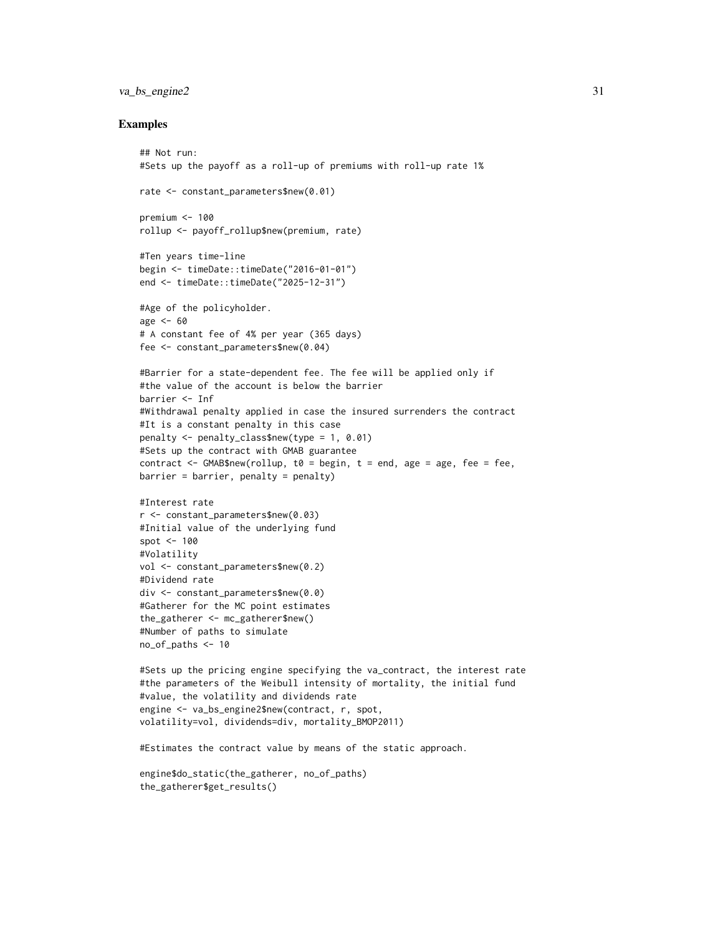#### va\_bs\_engine2 31

#### Examples

```
## Not run:
#Sets up the payoff as a roll-up of premiums with roll-up rate 1%
rate <- constant_parameters$new(0.01)
premium <- 100
rollup <- payoff_rollup$new(premium, rate)
#Ten years time-line
begin <- timeDate::timeDate("2016-01-01")
end <- timeDate::timeDate("2025-12-31")
#Age of the policyholder.
age <-60# A constant fee of 4% per year (365 days)
fee <- constant_parameters$new(0.04)
#Barrier for a state-dependent fee. The fee will be applied only if
#the value of the account is below the barrier
barrier <- Inf
#Withdrawal penalty applied in case the insured surrenders the contract
#It is a constant penalty in this case
penalty <- penalty_class$new(type = 1, 0.01)
#Sets up the contract with GMAB guarantee
contract <- GMAB$new(rollup, t0 = begin, t = end, age = age, fee = fee,
barrier = barrier, penalty = penalty)
#Interest rate
r <- constant_parameters$new(0.03)
#Initial value of the underlying fund
spot <- 100
#Volatility
vol <- constant_parameters$new(0.2)
#Dividend rate
div <- constant_parameters$new(0.0)
#Gatherer for the MC point estimates
the_gatherer <- mc_gatherer$new()
#Number of paths to simulate
no_of_paths <- 10
#Sets up the pricing engine specifying the va_contract, the interest rate
#the parameters of the Weibull intensity of mortality, the initial fund
```

```
#value, the volatility and dividends rate
engine <- va_bs_engine2$new(contract, r, spot,
volatility=vol, dividends=div, mortality_BMOP2011)
```
#Estimates the contract value by means of the static approach.

engine\$do\_static(the\_gatherer, no\_of\_paths) the\_gatherer\$get\_results()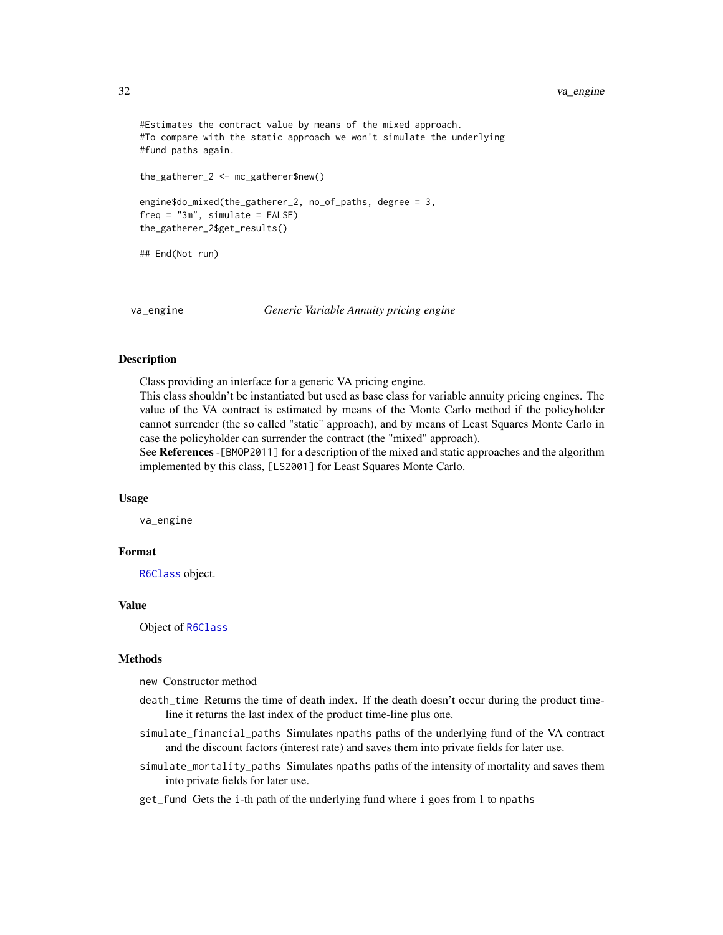#### <span id="page-31-0"></span>32 va\_engine

```
#Estimates the contract value by means of the mixed approach.
#To compare with the static approach we won't simulate the underlying
#fund paths again.
the_gatherer_2 <- mc_gatherer$new()
engine$do_mixed(the_gatherer_2, no_of_paths, degree = 3,
freq = "3m", simulate = FALSE)the_gatherer_2$get_results()
## End(Not run)
```
va\_engine *Generic Variable Annuity pricing engine*

#### Description

Class providing an interface for a generic VA pricing engine.

This class shouldn't be instantiated but used as base class for variable annuity pricing engines. The value of the VA contract is estimated by means of the Monte Carlo method if the policyholder cannot surrender (the so called "static" approach), and by means of Least Squares Monte Carlo in case the policyholder can surrender the contract (the "mixed" approach).

See References -[BMOP2011] for a description of the mixed and static approaches and the algorithm implemented by this class, [LS2001] for Least Squares Monte Carlo.

#### Usage

va\_engine

#### Format

[R6Class](#page-0-0) object.

#### Value

Object of [R6Class](#page-0-0)

#### Methods

new Constructor method

- death\_time Returns the time of death index. If the death doesn't occur during the product timeline it returns the last index of the product time-line plus one.
- simulate\_financial\_paths Simulates npaths paths of the underlying fund of the VA contract and the discount factors (interest rate) and saves them into private fields for later use.
- simulate\_mortality\_paths Simulates npaths paths of the intensity of mortality and saves them into private fields for later use.
- get\_fund Gets the i-th path of the underlying fund where i goes from 1 to npaths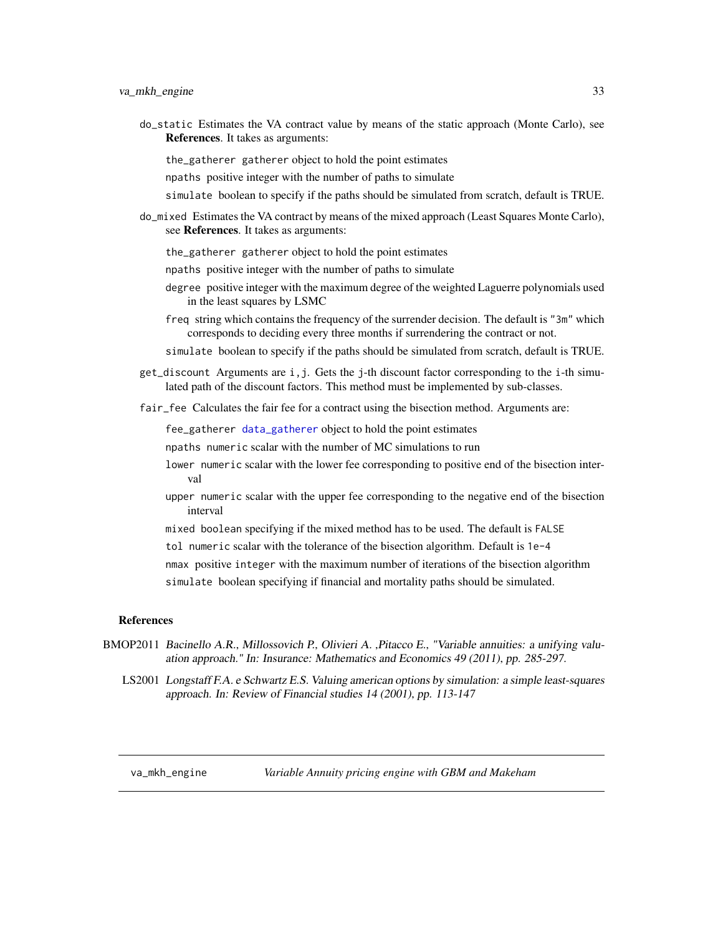<span id="page-32-0"></span>do\_static Estimates the VA contract value by means of the static approach (Monte Carlo), see References. It takes as arguments:

the\_gatherer gatherer object to hold the point estimates

npaths positive integer with the number of paths to simulate

- simulate boolean to specify if the paths should be simulated from scratch, default is TRUE.
- do\_mixed Estimates the VA contract by means of the mixed approach (Least Squares Monte Carlo), see References. It takes as arguments:
	- the\_gatherer gatherer object to hold the point estimates
	- npaths positive integer with the number of paths to simulate
	- degree positive integer with the maximum degree of the weighted Laguerre polynomials used in the least squares by LSMC
	- freq string which contains the frequency of the surrender decision. The default is "3m" which corresponds to deciding every three months if surrendering the contract or not.

simulate boolean to specify if the paths should be simulated from scratch, default is TRUE.

- get\_discount Arguments are i,j. Gets the j-th discount factor corresponding to the i-th simulated path of the discount factors. This method must be implemented by sub-classes.
- fair\_fee Calculates the fair fee for a contract using the bisection method. Arguments are:

fee\_gatherer [data\\_gatherer](#page-3-1) object to hold the point estimates

- npaths numeric scalar with the number of MC simulations to run
- lower numeric scalar with the lower fee corresponding to positive end of the bisection interval
- upper numeric scalar with the upper fee corresponding to the negative end of the bisection interval
- mixed boolean specifying if the mixed method has to be used. The default is FALSE
- tol numeric scalar with the tolerance of the bisection algorithm. Default is 1e-4

nmax positive integer with the maximum number of iterations of the bisection algorithm

simulate boolean specifying if financial and mortality paths should be simulated.

#### References

- BMOP2011 Bacinello A.R., Millossovich P., Olivieri A., Pitacco E., "Variable annuities: a unifying valuation approach." In: Insurance: Mathematics and Economics 49 (2011), pp. 285-297.
	- LS2001 Longstaff F.A. e Schwartz E.S. Valuing american options by simulation: a simple least-squares approach. In: Review of Financial studies 14 (2001), pp. 113-147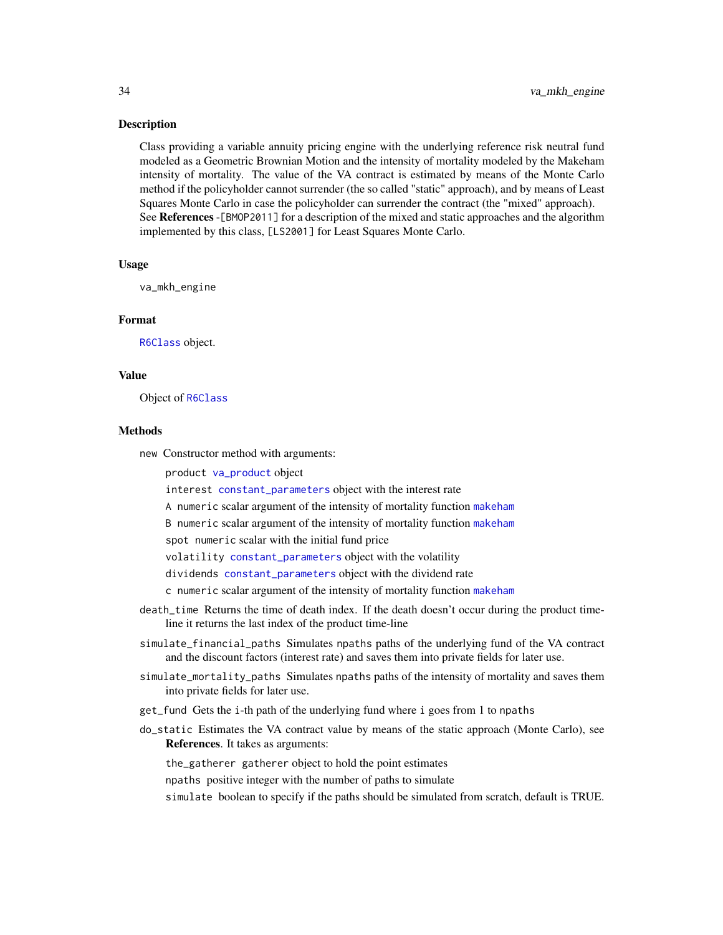#### <span id="page-33-0"></span>Description

Class providing a variable annuity pricing engine with the underlying reference risk neutral fund modeled as a Geometric Brownian Motion and the intensity of mortality modeled by the Makeham intensity of mortality. The value of the VA contract is estimated by means of the Monte Carlo method if the policyholder cannot surrender (the so called "static" approach), and by means of Least Squares Monte Carlo in case the policyholder can surrender the contract (the "mixed" approach). See References -[BMOP2011] for a description of the mixed and static approaches and the algorithm implemented by this class, [LS2001] for Least Squares Monte Carlo.

#### Usage

va\_mkh\_engine

#### Format

[R6Class](#page-0-0) object.

#### Value

Object of [R6Class](#page-0-0)

#### Methods

new Constructor method with arguments:

product [va\\_product](#page-37-1) object

interest [constant\\_parameters](#page-2-1) object with the interest rate

A numeric scalar argument of the intensity of mortality function [makeham](#page-17-1)

B numeric scalar argument of the intensity of mortality function [makeham](#page-17-1)

spot numeric scalar with the initial fund price

volatility [constant\\_parameters](#page-2-1) object with the volatility

dividends [constant\\_parameters](#page-2-1) object with the dividend rate

c numeric scalar argument of the intensity of mortality function [makeham](#page-17-1)

- death\_time Returns the time of death index. If the death doesn't occur during the product timeline it returns the last index of the product time-line
- simulate\_financial\_paths Simulates npaths paths of the underlying fund of the VA contract and the discount factors (interest rate) and saves them into private fields for later use.
- simulate\_mortality\_paths Simulates npaths paths of the intensity of mortality and saves them into private fields for later use.
- get\_fund Gets the i-th path of the underlying fund where i goes from 1 to npaths
- do\_static Estimates the VA contract value by means of the static approach (Monte Carlo), see References. It takes as arguments:

the\_gatherer gatherer object to hold the point estimates

npaths positive integer with the number of paths to simulate

simulate boolean to specify if the paths should be simulated from scratch, default is TRUE.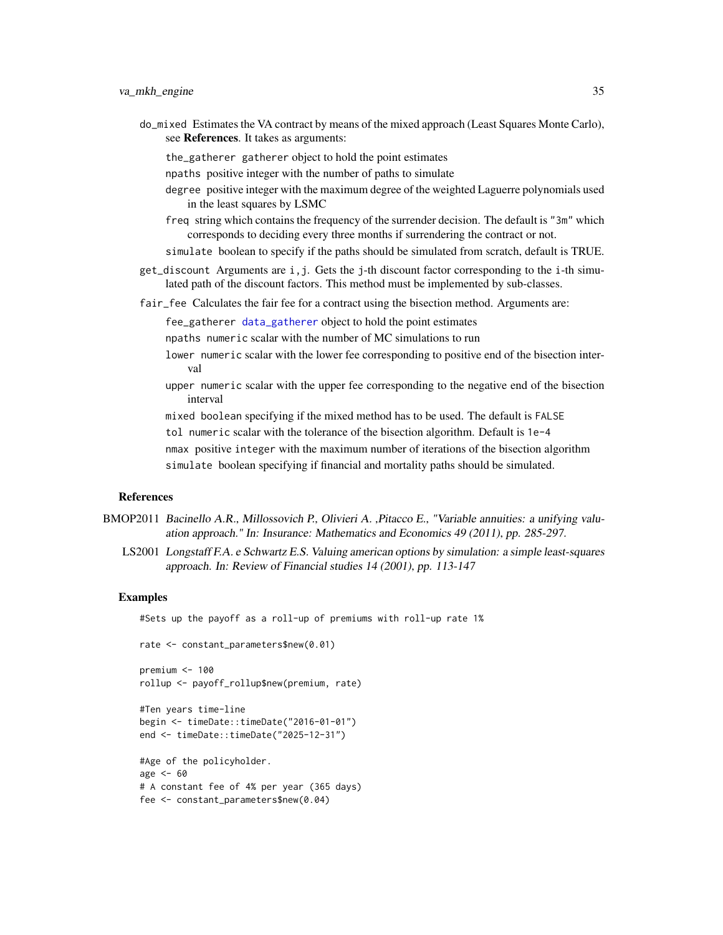<span id="page-34-0"></span>do\_mixed Estimates the VA contract by means of the mixed approach (Least Squares Monte Carlo), see References. It takes as arguments:

the\_gatherer gatherer object to hold the point estimates

- npaths positive integer with the number of paths to simulate
- degree positive integer with the maximum degree of the weighted Laguerre polynomials used in the least squares by LSMC
- freq string which contains the frequency of the surrender decision. The default is "3m" which corresponds to deciding every three months if surrendering the contract or not.
- simulate boolean to specify if the paths should be simulated from scratch, default is TRUE.
- get\_discount Arguments are i,j. Gets the j-th discount factor corresponding to the i-th simulated path of the discount factors. This method must be implemented by sub-classes.
- fair\_fee Calculates the fair fee for a contract using the bisection method. Arguments are:

fee\_gatherer [data\\_gatherer](#page-3-1) object to hold the point estimates

npaths numeric scalar with the number of MC simulations to run

- lower numeric scalar with the lower fee corresponding to positive end of the bisection interval
- upper numeric scalar with the upper fee corresponding to the negative end of the bisection interval

mixed boolean specifying if the mixed method has to be used. The default is FALSE

tol numeric scalar with the tolerance of the bisection algorithm. Default is 1e-4

nmax positive integer with the maximum number of iterations of the bisection algorithm simulate boolean specifying if financial and mortality paths should be simulated.

#### References

- BMOP2011 Bacinello A.R., Millossovich P., Olivieri A. ,Pitacco E., "Variable annuities: a unifying valuation approach." In: Insurance: Mathematics and Economics 49 (2011), pp. 285-297.
	- LS2001 Longstaff F.A. e Schwartz E.S. Valuing american options by simulation: a simple least-squares approach. In: Review of Financial studies 14 (2001), pp. 113-147

#### Examples

#Sets up the payoff as a roll-up of premiums with roll-up rate 1%

```
rate <- constant_parameters$new(0.01)
```

```
premium <-100rollup <- payoff_rollup$new(premium, rate)
```

```
#Ten years time-line
begin <- timeDate::timeDate("2016-01-01")
end <- timeDate::timeDate("2025-12-31")
```

```
#Age of the policyholder.
age <-60# A constant fee of 4% per year (365 days)
fee <- constant_parameters$new(0.04)
```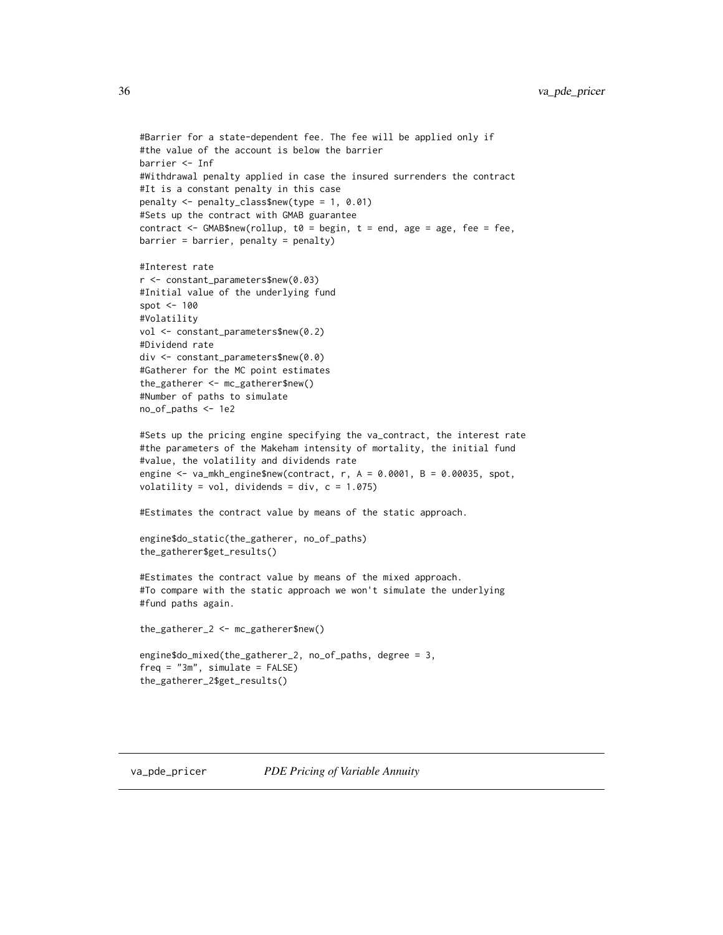```
#Barrier for a state-dependent fee. The fee will be applied only if
#the value of the account is below the barrier
barrier <- Inf
#Withdrawal penalty applied in case the insured surrenders the contract
#It is a constant penalty in this case
penalty <- penalty_class$new(type = 1, 0.01)
#Sets up the contract with GMAB guarantee
contract \leq GMAB$new(rollup, t0 = begin, t = end, age = age, fee = fee,
barrier = barrier, penalty = penalty)
#Interest rate
r <- constant_parameters$new(0.03)
#Initial value of the underlying fund
spot <- 100
#Volatility
vol <- constant_parameters$new(0.2)
#Dividend rate
div <- constant_parameters$new(0.0)
#Gatherer for the MC point estimates
the_gatherer <- mc_gatherer$new()
#Number of paths to simulate
no_of_paths <- 1e2
#Sets up the pricing engine specifying the va_contract, the interest rate
#the parameters of the Makeham intensity of mortality, the initial fund
#value, the volatility and dividends rate
engine <- va_mkh_engine$new(contract, r, A = 0.0001, B = 0.00035, spot,
volatility = vol, dividends = div, c = 1.075)
#Estimates the contract value by means of the static approach.
engine$do_static(the_gatherer, no_of_paths)
the_gatherer$get_results()
#Estimates the contract value by means of the mixed approach.
#To compare with the static approach we won't simulate the underlying
#fund paths again.
```
the\_gatherer\_2 <- mc\_gatherer\$new()

```
engine$do_mixed(the_gatherer_2, no_of_paths, degree = 3,
freq = "3m", simulate = FALSE)
the_gatherer_2$get_results()
```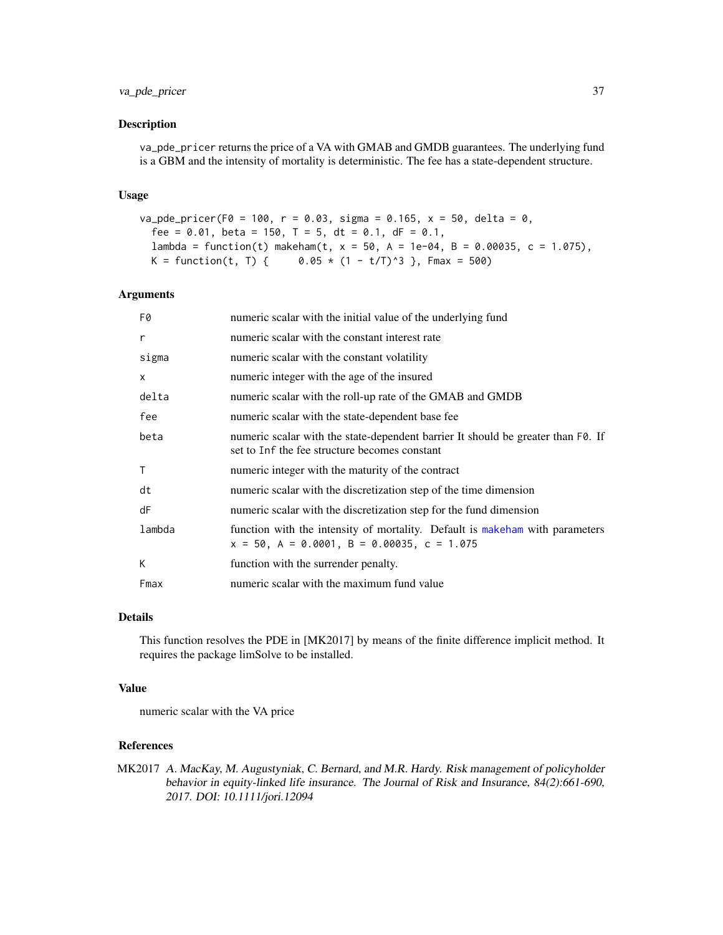#### <span id="page-36-0"></span>va\_pde\_pricer 37

#### Description

va\_pde\_pricer returns the price of a VA with GMAB and GMDB guarantees. The underlying fund is a GBM and the intensity of mortality is deterministic. The fee has a state-dependent structure.

#### Usage

```
va_{p}de_pricer(F0 = 100, r = 0.03, sigma = 0.165, x = 50, delta = 0,
  fee = 0.01, beta = 150, T = 5, dt = 0.1, dF = 0.1,
  lambda = function(t) makeham(t, x = 50, A = 1e-04, B = 0.00035, c = 1.075),
 K = function(t, T) { 0.05 * (1 - t/T)^3 }, Fmax = 500)
```
#### Arguments

| F0           | numeric scalar with the initial value of the underlying fund                                                                      |
|--------------|-----------------------------------------------------------------------------------------------------------------------------------|
| r            | numeric scalar with the constant interest rate                                                                                    |
| sigma        | numeric scalar with the constant volatility                                                                                       |
| $\times$     | numeric integer with the age of the insured                                                                                       |
| delta        | numeric scalar with the roll-up rate of the GMAB and GMDB                                                                         |
| fee          | numeric scalar with the state-dependent base fee                                                                                  |
| beta         | numeric scalar with the state-dependent barrier It should be greater than F0. If<br>set to Inf the fee structure becomes constant |
| $\mathsf{T}$ | numeric integer with the maturity of the contract                                                                                 |
| dt           | numeric scalar with the discretization step of the time dimension                                                                 |
| dF           | numeric scalar with the discretization step for the fund dimension                                                                |
| lambda       | function with the intensity of mortality. Default is makeham with parameters<br>$x = 50$ , A = 0.0001, B = 0.00035, c = 1.075     |
| К            | function with the surrender penalty.                                                                                              |
| Fmax         | numeric scalar with the maximum fund value                                                                                        |

#### Details

This function resolves the PDE in [MK2017] by means of the finite difference implicit method. It requires the package limSolve to be installed.

#### Value

numeric scalar with the VA price

#### References

MK2017 A. MacKay, M. Augustyniak, C. Bernard, and M.R. Hardy. Risk management of policyholder behavior in equity-linked life insurance. The Journal of Risk and Insurance, 84(2):661-690, 2017. DOI: 10.1111/jori.12094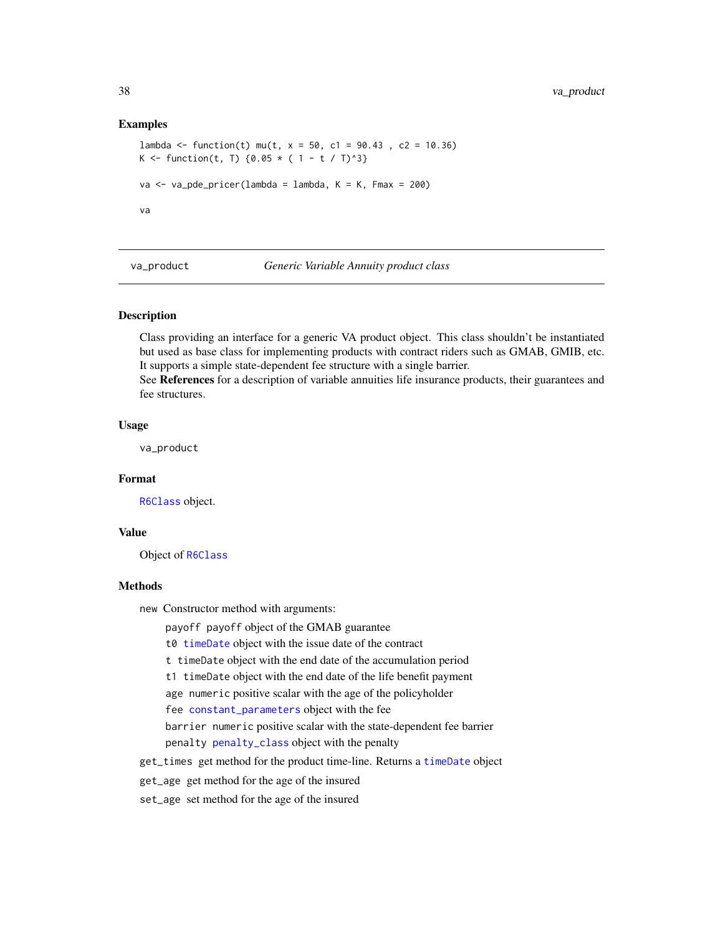#### <span id="page-37-0"></span>Examples

```
lambda <- function(t) mu(t, x = 50, c1 = 90.43, c2 = 10.36)
K <- function(t, T) {0.05 * ( 1 - t / T)^3}
va \le va_pde_pricer(lambda = lambda, K = K, Fmax = 200)
va
```
<span id="page-37-1"></span>va\_product *Generic Variable Annuity product class*

#### Description

Class providing an interface for a generic VA product object. This class shouldn't be instantiated but used as base class for implementing products with contract riders such as GMAB, GMIB, etc. It supports a simple state-dependent fee structure with a single barrier.

See References for a description of variable annuities life insurance products, their guarantees and fee structures.

#### Usage

va\_product

#### Format

[R6Class](#page-0-0) object.

#### Value

Object of [R6Class](#page-0-0)

#### Methods

new Constructor method with arguments:

payoff payoff object of the GMAB guarantee

t0 [timeDate](#page-0-0) object with the issue date of the contract

t timeDate object with the end date of the accumulation period

t1 timeDate object with the end date of the life benefit payment

age numeric positive scalar with the age of the policyholder

fee [constant\\_parameters](#page-2-1) object with the fee

barrier numeric positive scalar with the state-dependent fee barrier penalty [penalty\\_class](#page-24-1) object with the penalty

get\_times get method for the product time-line. Returns a [timeDate](#page-0-0) object

get\_age get method for the age of the insured

set\_age set method for the age of the insured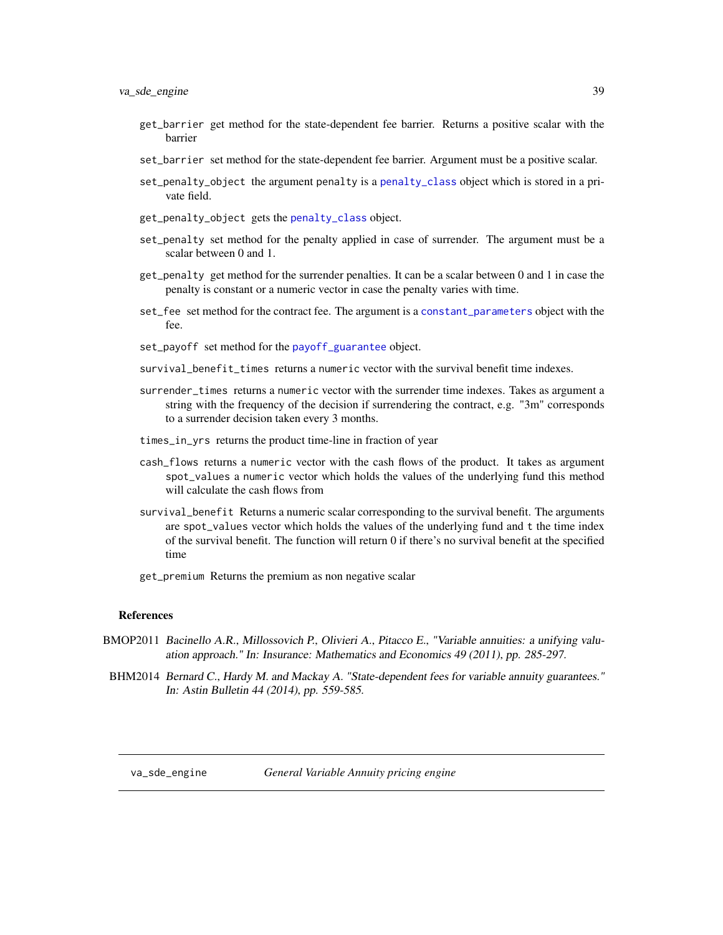- <span id="page-38-0"></span>get\_barrier get method for the state-dependent fee barrier. Returns a positive scalar with the barrier
- set\_barrier set method for the state-dependent fee barrier. Argument must be a positive scalar.
- set\_penalty\_object the argument penalty is a [penalty\\_class](#page-24-1) object which is stored in a private field.
- get\_penalty\_object gets the [penalty\\_class](#page-24-1) object.
- set\_penalty set method for the penalty applied in case of surrender. The argument must be a scalar between 0 and 1.
- get\_penalty get method for the surrender penalties. It can be a scalar between 0 and 1 in case the penalty is constant or a numeric vector in case the penalty varies with time.
- set\_fee set method for the contract fee. The argument is a [constant\\_parameters](#page-2-1) object with the fee.
- set\_payoff set method for the [payoff\\_guarantee](#page-21-1) object.
- survival\_benefit\_times returns a numeric vector with the survival benefit time indexes.
- surrender\_times returns a numeric vector with the surrender time indexes. Takes as argument a string with the frequency of the decision if surrendering the contract, e.g. "3m" corresponds to a surrender decision taken every 3 months.
- times\_in\_yrs returns the product time-line in fraction of year
- cash\_flows returns a numeric vector with the cash flows of the product. It takes as argument spot\_values a numeric vector which holds the values of the underlying fund this method will calculate the cash flows from
- survival\_benefit Returns a numeric scalar corresponding to the survival benefit. The arguments are spot\_values vector which holds the values of the underlying fund and t the time index of the survival benefit. The function will return 0 if there's no survival benefit at the specified time
- get\_premium Returns the premium as non negative scalar

#### References

- BMOP2011 Bacinello A.R., Millossovich P., Olivieri A., Pitacco E., "Variable annuities: a unifying valuation approach." In: Insurance: Mathematics and Economics 49 (2011), pp. 285-297.
- BHM2014 Bernard C., Hardy M. and Mackay A. "State-dependent fees for variable annuity guarantees." In: Astin Bulletin 44 (2014), pp. 559-585.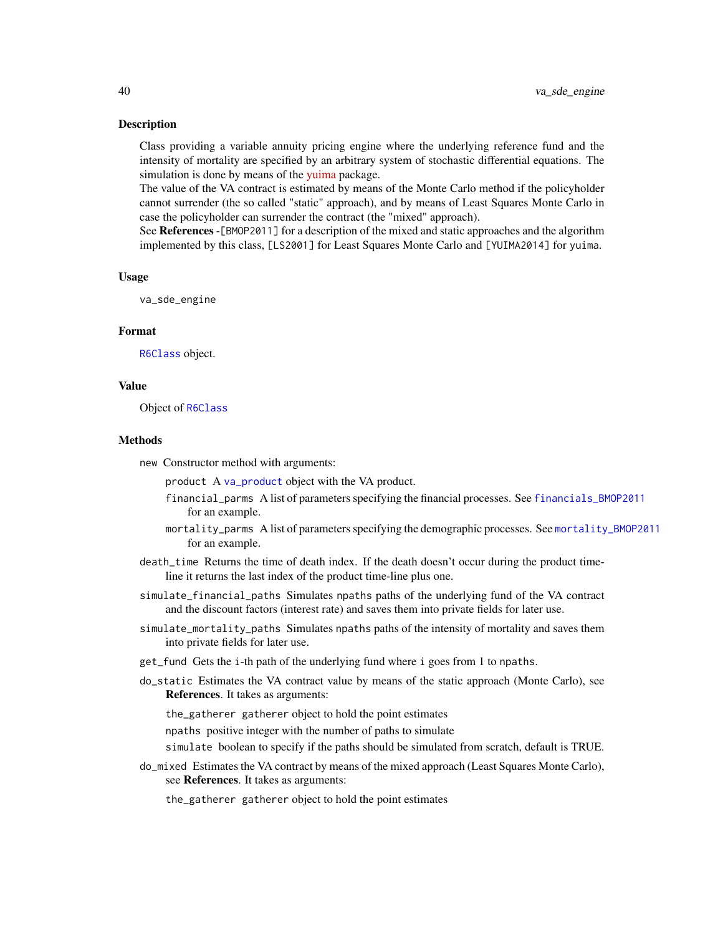#### <span id="page-39-0"></span>Description

Class providing a variable annuity pricing engine where the underlying reference fund and the intensity of mortality are specified by an arbitrary system of stochastic differential equations. The simulation is done by means of the [yuima](https://CRAN.R-project.org/package=yuima) package.

The value of the VA contract is estimated by means of the Monte Carlo method if the policyholder cannot surrender (the so called "static" approach), and by means of Least Squares Monte Carlo in case the policyholder can surrender the contract (the "mixed" approach).

See References -[BMOP2011] for a description of the mixed and static approaches and the algorithm implemented by this class, [LS2001] for Least Squares Monte Carlo and [YUIMA2014] for yuima.

#### Usage

va\_sde\_engine

#### Format

[R6Class](#page-0-0) object.

#### Value

Object of [R6Class](#page-0-0)

#### Methods

new Constructor method with arguments:

product A [va\\_product](#page-37-1) object with the VA product.

- financial\_parms A list of parameters specifying the financial processes. See [financials\\_BMOP2011](#page-4-1) for an example.
- mortality\_parms A list of parameters specifying the demographic processes. See [mortality\\_BMOP2011](#page-19-1) for an example.
- death\_time Returns the time of death index. If the death doesn't occur during the product timeline it returns the last index of the product time-line plus one.
- simulate\_financial\_paths Simulates npaths paths of the underlying fund of the VA contract and the discount factors (interest rate) and saves them into private fields for later use.
- simulate\_mortality\_paths Simulates npaths paths of the intensity of mortality and saves them into private fields for later use.
- get\_fund Gets the i-th path of the underlying fund where i goes from 1 to npaths.
- do\_static Estimates the VA contract value by means of the static approach (Monte Carlo), see References. It takes as arguments:

the\_gatherer gatherer object to hold the point estimates

npaths positive integer with the number of paths to simulate

simulate boolean to specify if the paths should be simulated from scratch, default is TRUE.

do\_mixed Estimates the VA contract by means of the mixed approach (Least Squares Monte Carlo), see References. It takes as arguments:

the\_gatherer gatherer object to hold the point estimates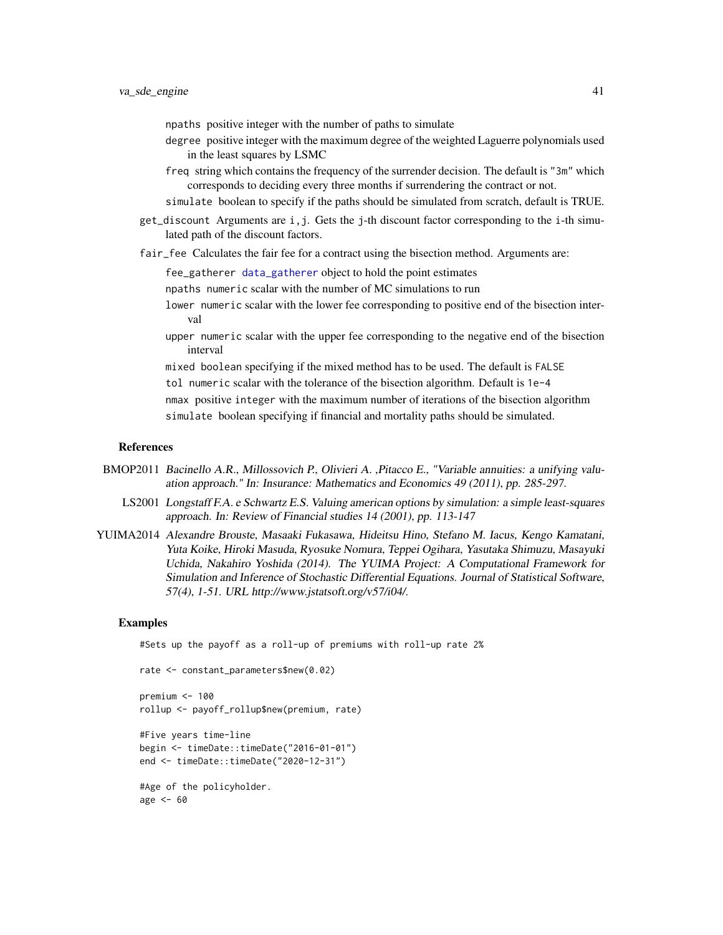- <span id="page-40-0"></span>npaths positive integer with the number of paths to simulate
- degree positive integer with the maximum degree of the weighted Laguerre polynomials used in the least squares by LSMC
- freq string which contains the frequency of the surrender decision. The default is "3m" which corresponds to deciding every three months if surrendering the contract or not.
- simulate boolean to specify if the paths should be simulated from scratch, default is TRUE.
- get\_discount Arguments are i,j. Gets the j-th discount factor corresponding to the i-th simulated path of the discount factors.
- fair\_fee Calculates the fair fee for a contract using the bisection method. Arguments are:

fee\_gatherer [data\\_gatherer](#page-3-1) object to hold the point estimates

npaths numeric scalar with the number of MC simulations to run

- lower numeric scalar with the lower fee corresponding to positive end of the bisection interval
- upper numeric scalar with the upper fee corresponding to the negative end of the bisection interval

mixed boolean specifying if the mixed method has to be used. The default is FALSE tol numeric scalar with the tolerance of the bisection algorithm. Default is 1e-4 nmax positive integer with the maximum number of iterations of the bisection algorithm simulate boolean specifying if financial and mortality paths should be simulated.

#### References

- BMOP2011 Bacinello A.R., Millossovich P., Olivieri A. ,Pitacco E., "Variable annuities: a unifying valuation approach." In: Insurance: Mathematics and Economics 49 (2011), pp. 285-297.
	- LS2001 Longstaff F.A. e Schwartz E.S. Valuing american options by simulation: a simple least-squares approach. In: Review of Financial studies 14 (2001), pp. 113-147
- YUIMA2014 Alexandre Brouste, Masaaki Fukasawa, Hideitsu Hino, Stefano M. Iacus, Kengo Kamatani, Yuta Koike, Hiroki Masuda, Ryosuke Nomura, Teppei Ogihara, Yasutaka Shimuzu, Masayuki Uchida, Nakahiro Yoshida (2014). The YUIMA Project: A Computational Framework for Simulation and Inference of Stochastic Differential Equations. Journal of Statistical Software, 57(4), 1-51. URL http://www.jstatsoft.org/v57/i04/.

#### Examples

#Sets up the payoff as a roll-up of premiums with roll-up rate 2%

rate <- constant\_parameters\$new(0.02)

premium <- 100 rollup <- payoff\_rollup\$new(premium, rate)

```
#Five years time-line
begin <- timeDate::timeDate("2016-01-01")
end <- timeDate::timeDate("2020-12-31")
```
#Age of the policyholder. age <- 60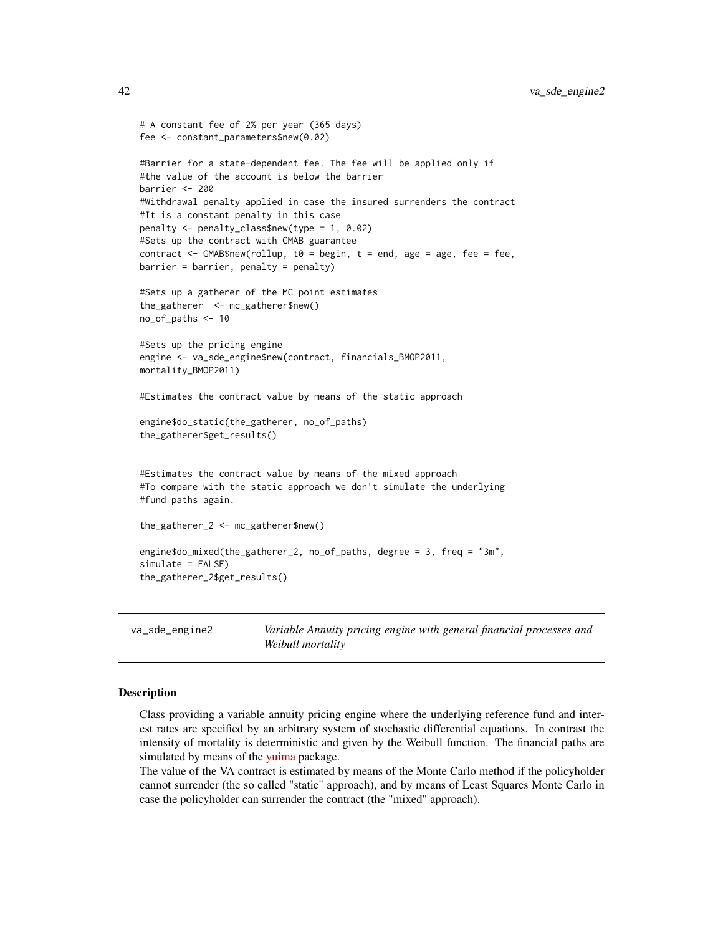```
# A constant fee of 2% per year (365 days)
fee <- constant_parameters$new(0.02)
#Barrier for a state-dependent fee. The fee will be applied only if
#the value of the account is below the barrier
barrier <- 200
#Withdrawal penalty applied in case the insured surrenders the contract
#It is a constant penalty in this case
penalty <- penalty_class$new(type = 1, 0.02)
#Sets up the contract with GMAB guarantee
contract \leq GMAB$new(rollup, t0 = begin, t = end, age = age, fee = fee,
barrier = barrier, penalty = penalty)
#Sets up a gatherer of the MC point estimates
the_gatherer <- mc_gatherer$new()
no_of_paths <- 10
#Sets up the pricing engine
engine <- va_sde_engine$new(contract, financials_BMOP2011,
mortality_BMOP2011)
#Estimates the contract value by means of the static approach
engine$do_static(the_gatherer, no_of_paths)
the_gatherer$get_results()
#Estimates the contract value by means of the mixed approach
#To compare with the static approach we don't simulate the underlying
#fund paths again.
the_gatherer_2 <- mc_gatherer$new()
engine$do_mixed(the_gatherer_2, no_of_paths, degree = 3, freq = "3m",
simulate = FALSE)
the_gatherer_2$get_results()
```
<span id="page-41-1"></span>va\_sde\_engine2 *Variable Annuity pricing engine with general financial processes and Weibull mortality*

#### Description

Class providing a variable annuity pricing engine where the underlying reference fund and interest rates are specified by an arbitrary system of stochastic differential equations. In contrast the intensity of mortality is deterministic and given by the Weibull function. The financial paths are simulated by means of the *[yuima](https://CRAN.R-project.org/package=yuima)* package.

The value of the VA contract is estimated by means of the Monte Carlo method if the policyholder cannot surrender (the so called "static" approach), and by means of Least Squares Monte Carlo in case the policyholder can surrender the contract (the "mixed" approach).

<span id="page-41-0"></span>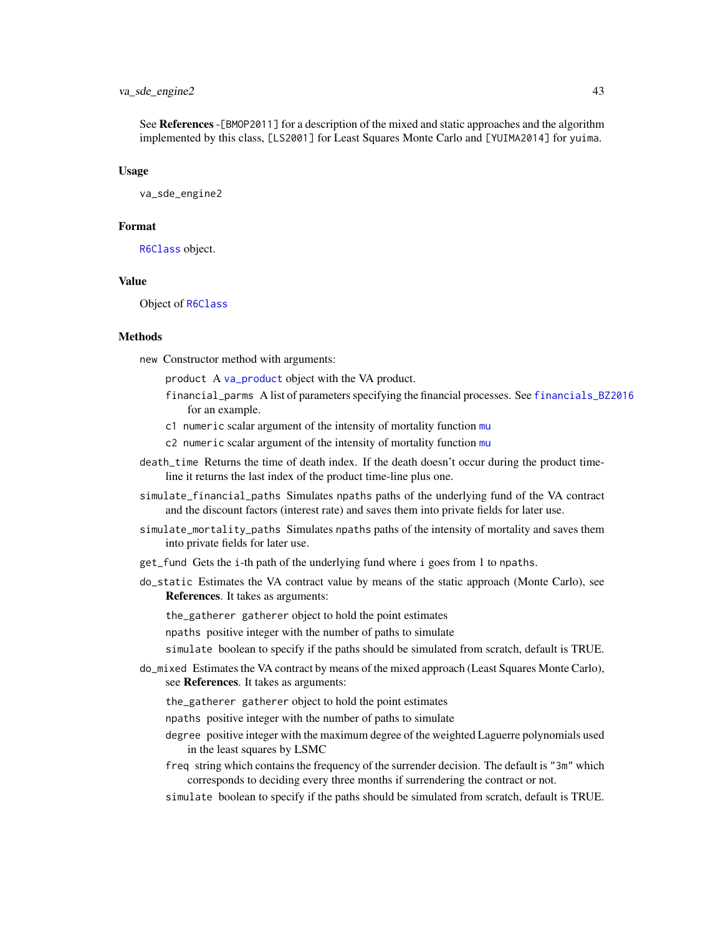#### <span id="page-42-0"></span>va\_sde\_engine2 43

See References -[BMOP2011] for a description of the mixed and static approaches and the algorithm implemented by this class, [LS2001] for Least Squares Monte Carlo and [YUIMA2014] for yuima.

#### Usage

va\_sde\_engine2

#### Format

[R6Class](#page-0-0) object.

#### Value

Object of [R6Class](#page-0-0)

#### Methods

new Constructor method with arguments:

product A [va\\_product](#page-37-1) object with the VA product.

- financial\_parms A list of parameters specifying the financial processes. See [financials\\_BZ2016](#page-4-2) for an example.
- c1 numeric scalar argument of the intensity of mortality function [mu](#page-20-1)
- c2 numeric scalar argument of the intensity of mortality function [mu](#page-20-1)
- death\_time Returns the time of death index. If the death doesn't occur during the product timeline it returns the last index of the product time-line plus one.
- simulate\_financial\_paths Simulates npaths paths of the underlying fund of the VA contract and the discount factors (interest rate) and saves them into private fields for later use.
- simulate\_mortality\_paths Simulates npaths paths of the intensity of mortality and saves them into private fields for later use.
- get\_fund Gets the i-th path of the underlying fund where i goes from 1 to npaths.
- do\_static Estimates the VA contract value by means of the static approach (Monte Carlo), see References. It takes as arguments:

the\_gatherer gatherer object to hold the point estimates

npaths positive integer with the number of paths to simulate

simulate boolean to specify if the paths should be simulated from scratch, default is TRUE.

- do\_mixed Estimates the VA contract by means of the mixed approach (Least Squares Monte Carlo), see References. It takes as arguments:
	- the\_gatherer gatherer object to hold the point estimates
	- npaths positive integer with the number of paths to simulate
	- degree positive integer with the maximum degree of the weighted Laguerre polynomials used in the least squares by LSMC
	- freq string which contains the frequency of the surrender decision. The default is "3m" which corresponds to deciding every three months if surrendering the contract or not.
	- simulate boolean to specify if the paths should be simulated from scratch, default is TRUE.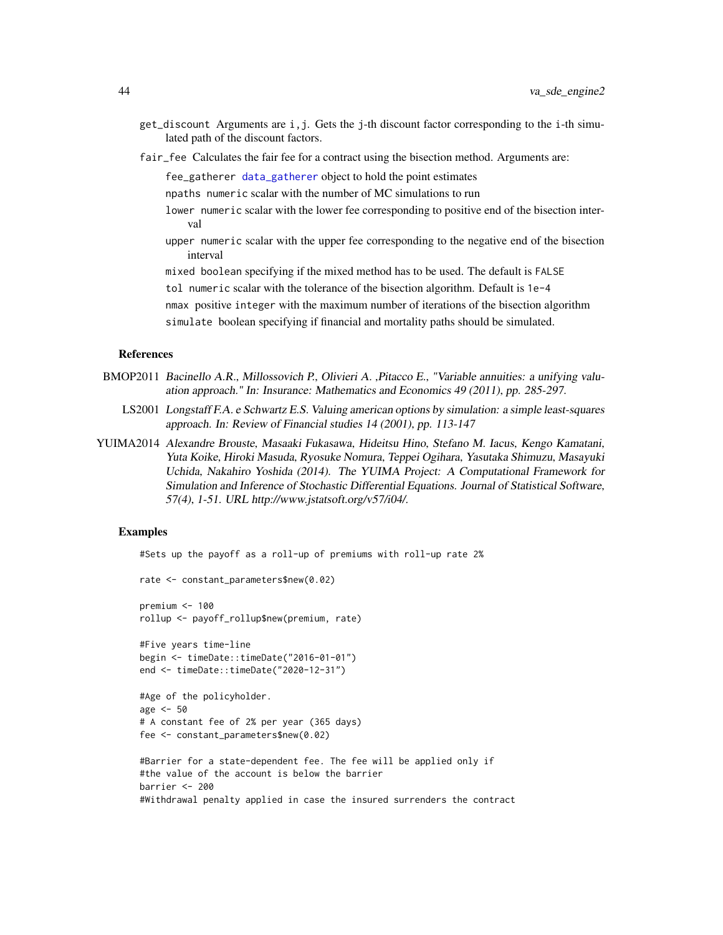- <span id="page-43-0"></span>get\_discount Arguments are i,j. Gets the j-th discount factor corresponding to the i-th simulated path of the discount factors.
- fair\_fee Calculates the fair fee for a contract using the bisection method. Arguments are:

fee\_gatherer [data\\_gatherer](#page-3-1) object to hold the point estimates

npaths numeric scalar with the number of MC simulations to run

lower numeric scalar with the lower fee corresponding to positive end of the bisection interval

upper numeric scalar with the upper fee corresponding to the negative end of the bisection interval

mixed boolean specifying if the mixed method has to be used. The default is FALSE

tol numeric scalar with the tolerance of the bisection algorithm. Default is 1e-4

nmax positive integer with the maximum number of iterations of the bisection algorithm simulate boolean specifying if financial and mortality paths should be simulated.

#### References

- BMOP2011 Bacinello A.R., Millossovich P., Olivieri A., Pitacco E., "Variable annuities: a unifying valuation approach." In: Insurance: Mathematics and Economics 49 (2011), pp. 285-297.
	- LS2001 Longstaff F.A. e Schwartz E.S. Valuing american options by simulation: a simple least-squares approach. In: Review of Financial studies 14 (2001), pp. 113-147
- YUIMA2014 Alexandre Brouste, Masaaki Fukasawa, Hideitsu Hino, Stefano M. Iacus, Kengo Kamatani, Yuta Koike, Hiroki Masuda, Ryosuke Nomura, Teppei Ogihara, Yasutaka Shimuzu, Masayuki Uchida, Nakahiro Yoshida (2014). The YUIMA Project: A Computational Framework for Simulation and Inference of Stochastic Differential Equations. Journal of Statistical Software, 57(4), 1-51. URL http://www.jstatsoft.org/v57/i04/.

#### Examples

#Sets up the payoff as a roll-up of premiums with roll-up rate 2%

```
rate <- constant_parameters$new(0.02)
premium <- 100
rollup <- payoff_rollup$new(premium, rate)
#Five years time-line
begin <- timeDate::timeDate("2016-01-01")
end <- timeDate::timeDate("2020-12-31")
#Age of the policyholder.
age <- 50
# A constant fee of 2% per year (365 days)
fee <- constant_parameters$new(0.02)
#Barrier for a state-dependent fee. The fee will be applied only if
#the value of the account is below the barrier
barrier <- 200
#Withdrawal penalty applied in case the insured surrenders the contract
```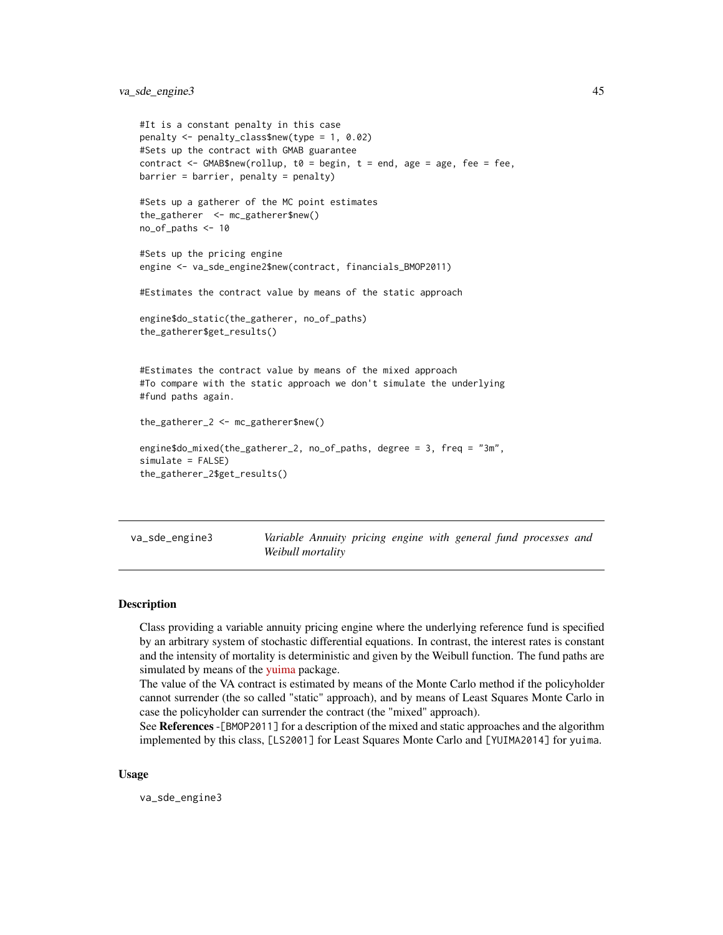<span id="page-44-0"></span>va\_sde\_engine3 45

```
#It is a constant penalty in this case
penalty <- penalty_class$new(type = 1, 0.02)
#Sets up the contract with GMAB guarantee
contract \leq GMAB$new(rollup, t0 = begin, t = end, age = age, fee = fee,
barrier = barrier, penalty = penalty)
#Sets up a gatherer of the MC point estimates
the_gatherer <- mc_gatherer$new()
no_of_paths <- 10
#Sets up the pricing engine
engine <- va_sde_engine2$new(contract, financials_BMOP2011)
#Estimates the contract value by means of the static approach
engine$do_static(the_gatherer, no_of_paths)
the_gatherer$get_results()
#Estimates the contract value by means of the mixed approach
#To compare with the static approach we don't simulate the underlying
#fund paths again.
the_gatherer_2 <- mc_gatherer$new()
engine$do_mixed(the_gatherer_2, no_of_paths, degree = 3, freq = "3m",
simulate = FALSE)
the_gatherer_2$get_results()
```
<span id="page-44-1"></span>va\_sde\_engine3 *Variable Annuity pricing engine with general fund processes and Weibull mortality*

#### Description

Class providing a variable annuity pricing engine where the underlying reference fund is specified by an arbitrary system of stochastic differential equations. In contrast, the interest rates is constant and the intensity of mortality is deterministic and given by the Weibull function. The fund paths are simulated by means of the [yuima](https://CRAN.R-project.org/package=yuima) package.

The value of the VA contract is estimated by means of the Monte Carlo method if the policyholder cannot surrender (the so called "static" approach), and by means of Least Squares Monte Carlo in case the policyholder can surrender the contract (the "mixed" approach).

See References -[BMOP2011] for a description of the mixed and static approaches and the algorithm implemented by this class, [LS2001] for Least Squares Monte Carlo and [YUIMA2014] for yuima.

#### Usage

va\_sde\_engine3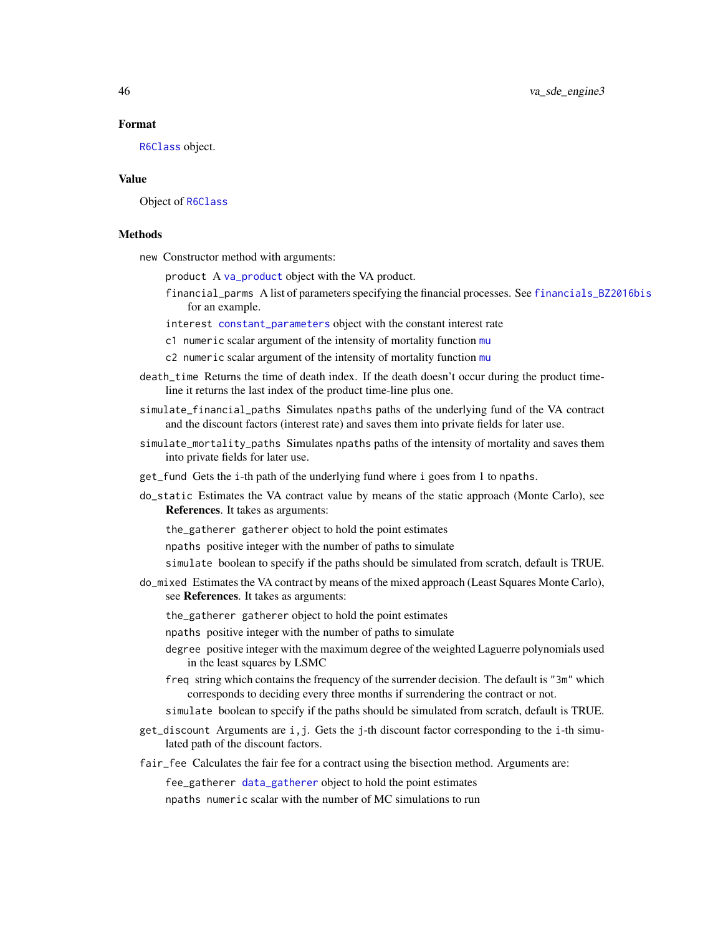#### Format

[R6Class](#page-0-0) object.

#### Value

Object of [R6Class](#page-0-0)

#### Methods

new Constructor method with arguments:

product A [va\\_product](#page-37-1) object with the VA product.

financial\_parms A list of parameters specifying the financial processes. See [financials\\_BZ2016bis](#page-5-1) for an example.

interest [constant\\_parameters](#page-2-1) object with the constant interest rate

- c1 numeric scalar argument of the intensity of mortality function [mu](#page-20-1)
- c2 numeric scalar argument of the intensity of mortality function [mu](#page-20-1)
- death\_time Returns the time of death index. If the death doesn't occur during the product timeline it returns the last index of the product time-line plus one.
- simulate\_financial\_paths Simulates npaths paths of the underlying fund of the VA contract and the discount factors (interest rate) and saves them into private fields for later use.
- simulate\_mortality\_paths Simulates npaths paths of the intensity of mortality and saves them into private fields for later use.
- get\_fund Gets the i-th path of the underlying fund where i goes from 1 to npaths.
- do\_static Estimates the VA contract value by means of the static approach (Monte Carlo), see References. It takes as arguments:

the\_gatherer gatherer object to hold the point estimates

- npaths positive integer with the number of paths to simulate
- simulate boolean to specify if the paths should be simulated from scratch, default is TRUE.
- do\_mixed Estimates the VA contract by means of the mixed approach (Least Squares Monte Carlo), see References. It takes as arguments:

the\_gatherer gatherer object to hold the point estimates

npaths positive integer with the number of paths to simulate

- degree positive integer with the maximum degree of the weighted Laguerre polynomials used in the least squares by LSMC
- freq string which contains the frequency of the surrender decision. The default is "3m" which corresponds to deciding every three months if surrendering the contract or not.
- simulate boolean to specify if the paths should be simulated from scratch, default is TRUE.
- get\_discount Arguments are i,j. Gets the j-th discount factor corresponding to the i-th simulated path of the discount factors.
- fair\_fee Calculates the fair fee for a contract using the bisection method. Arguments are:

fee\_gatherer [data\\_gatherer](#page-3-1) object to hold the point estimates npaths numeric scalar with the number of MC simulations to run

<span id="page-45-0"></span>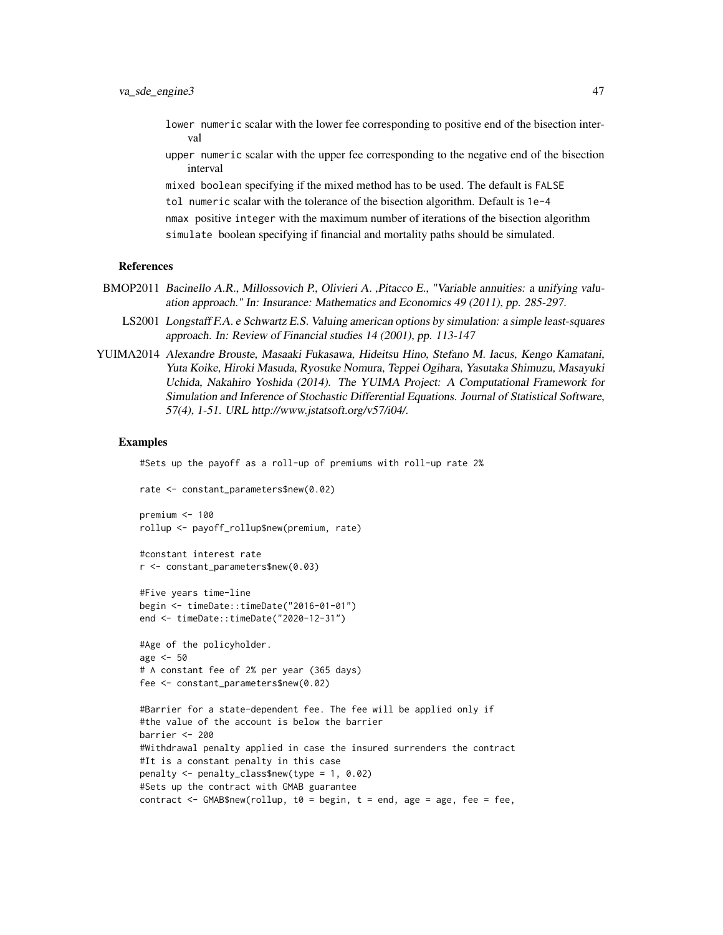- lower numeric scalar with the lower fee corresponding to positive end of the bisection interval
- upper numeric scalar with the upper fee corresponding to the negative end of the bisection interval

mixed boolean specifying if the mixed method has to be used. The default is FALSE tol numeric scalar with the tolerance of the bisection algorithm. Default is 1e-4 nmax positive integer with the maximum number of iterations of the bisection algorithm simulate boolean specifying if financial and mortality paths should be simulated.

#### References

- BMOP2011 Bacinello A.R., Millossovich P., Olivieri A., Pitacco E., "Variable annuities: a unifying valuation approach." In: Insurance: Mathematics and Economics 49 (2011), pp. 285-297.
	- LS2001 Longstaff F.A. e Schwartz E.S. Valuing american options by simulation: a simple least-squares approach. In: Review of Financial studies 14 (2001), pp. 113-147
- YUIMA2014 Alexandre Brouste, Masaaki Fukasawa, Hideitsu Hino, Stefano M. Iacus, Kengo Kamatani, Yuta Koike, Hiroki Masuda, Ryosuke Nomura, Teppei Ogihara, Yasutaka Shimuzu, Masayuki Uchida, Nakahiro Yoshida (2014). The YUIMA Project: A Computational Framework for Simulation and Inference of Stochastic Differential Equations. Journal of Statistical Software, 57(4), 1-51. URL http://www.jstatsoft.org/v57/i04/.

#### Examples

#Sets up the payoff as a roll-up of premiums with roll-up rate 2%

```
rate <- constant_parameters$new(0.02)
```

```
premium <- 100
rollup <- payoff_rollup$new(premium, rate)
```

```
#constant interest rate
r <- constant_parameters$new(0.03)
```

```
#Five years time-line
begin <- timeDate::timeDate("2016-01-01")
end <- timeDate::timeDate("2020-12-31")
```

```
#Age of the policyholder.
age <- 50
# A constant fee of 2% per year (365 days)
fee <- constant_parameters$new(0.02)
```

```
#Barrier for a state-dependent fee. The fee will be applied only if
#the value of the account is below the barrier
barrier <- 200
#Withdrawal penalty applied in case the insured surrenders the contract
#It is a constant penalty in this case
penalty <- penalty_class$new(type = 1, 0.02)
#Sets up the contract with GMAB guarantee
contract \leq GMAB$new(rollup, t0 = begin, t = end, age = age, fee = fee,
```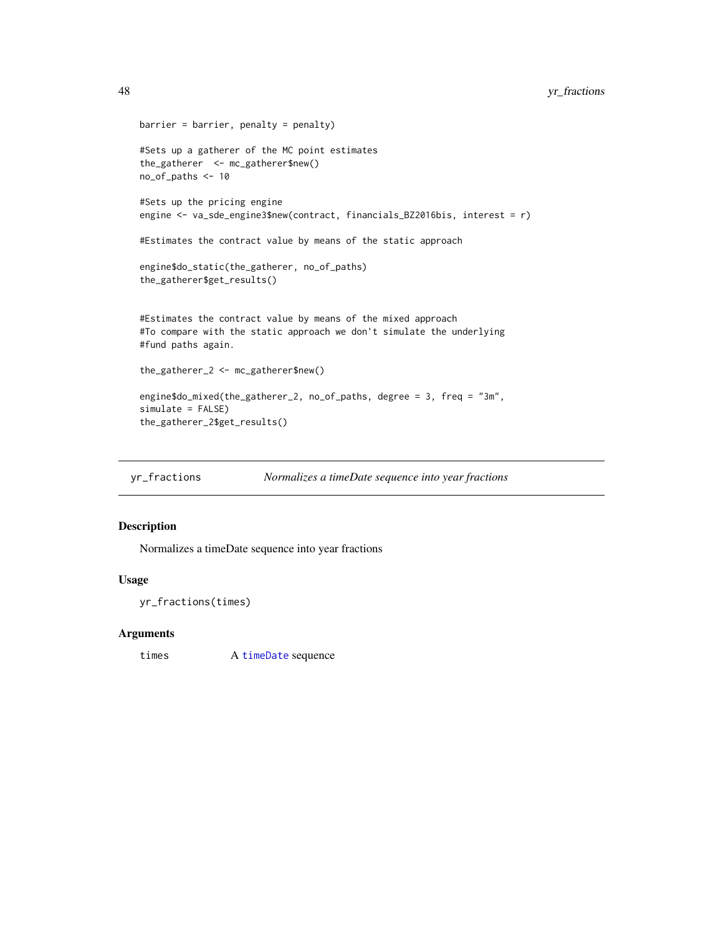```
barrier = barrier, penalty = penalty)
#Sets up a gatherer of the MC point estimates
the_gatherer <- mc_gatherer$new()
no_of_paths <- 10
#Sets up the pricing engine
engine <- va_sde_engine3$new(contract, financials_BZ2016bis, interest = r)
#Estimates the contract value by means of the static approach
engine$do_static(the_gatherer, no_of_paths)
the_gatherer$get_results()
#Estimates the contract value by means of the mixed approach
#To compare with the static approach we don't simulate the underlying
#fund paths again.
the_gatherer_2 <- mc_gatherer$new()
engine$do_mixed(the_gatherer_2, no_of_paths, degree = 3, freq = "3m",
simulate = FALSE)
the_gatherer_2$get_results()
```
yr\_fractions *Normalizes a timeDate sequence into year fractions*

#### Description

Normalizes a timeDate sequence into year fractions

#### Usage

```
yr_fractions(times)
```
#### Arguments

times A [timeDate](#page-0-0) sequence